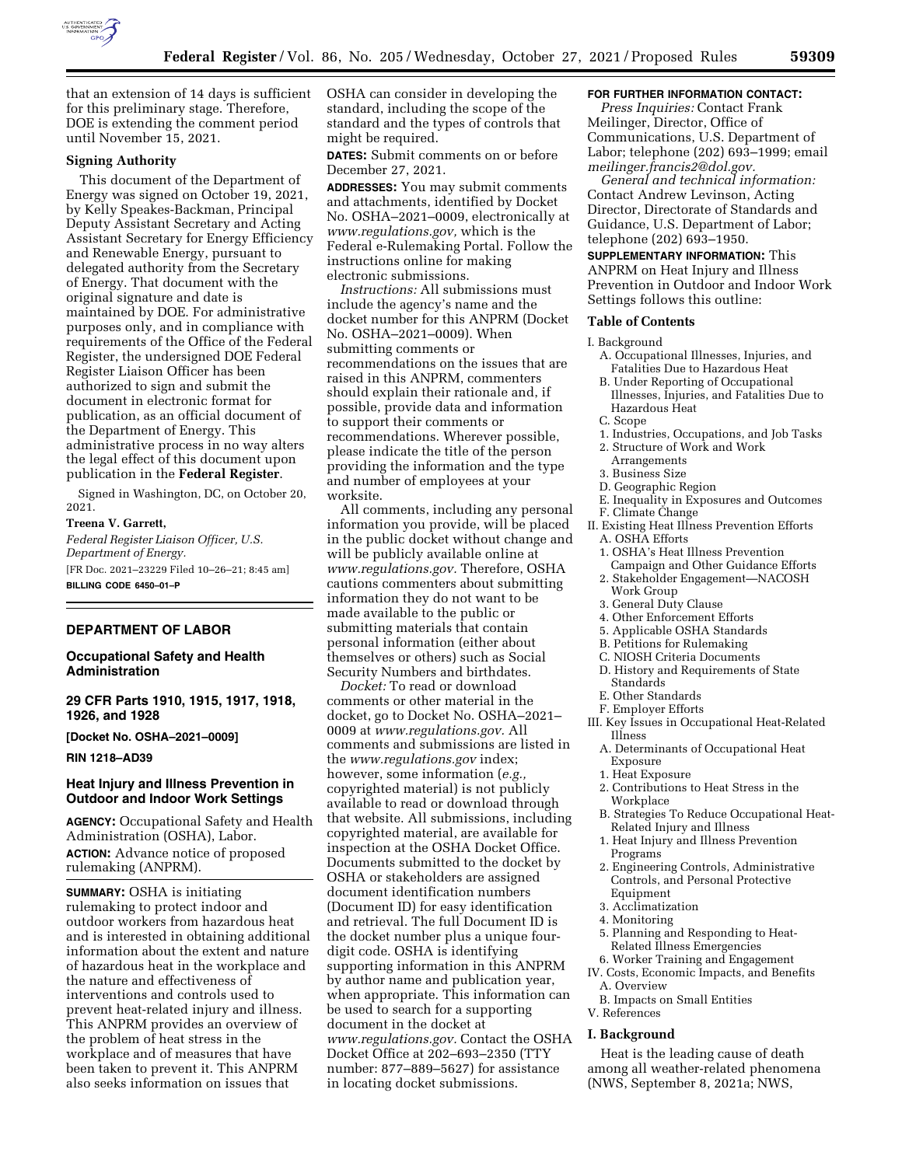

that an extension of 14 days is sufficient for this preliminary stage. Therefore, DOE is extending the comment period until November 15, 2021.

# **Signing Authority**

This document of the Department of Energy was signed on October 19, 2021, by Kelly Speakes-Backman, Principal Deputy Assistant Secretary and Acting Assistant Secretary for Energy Efficiency and Renewable Energy, pursuant to delegated authority from the Secretary of Energy. That document with the original signature and date is maintained by DOE. For administrative purposes only, and in compliance with requirements of the Office of the Federal Register, the undersigned DOE Federal Register Liaison Officer has been authorized to sign and submit the document in electronic format for publication, as an official document of the Department of Energy. This administrative process in no way alters the legal effect of this document upon publication in the **Federal Register**.

Signed in Washington, DC, on October 20, 2021.

#### **Treena V. Garrett,**

*Federal Register Liaison Officer, U.S. Department of Energy.*  [FR Doc. 2021–23229 Filed 10–26–21; 8:45 am] **BILLING CODE 6450–01–P** 

## **DEPARTMENT OF LABOR**

## **Occupational Safety and Health Administration**

**29 CFR Parts 1910, 1915, 1917, 1918, 1926, and 1928** 

**[Docket No. OSHA–2021–0009]** 

## **RIN 1218–AD39**

# **Heat Injury and Illness Prevention in Outdoor and Indoor Work Settings**

**AGENCY:** Occupational Safety and Health Administration (OSHA), Labor. **ACTION:** Advance notice of proposed rulemaking (ANPRM).

**SUMMARY:** OSHA is initiating rulemaking to protect indoor and outdoor workers from hazardous heat and is interested in obtaining additional information about the extent and nature of hazardous heat in the workplace and the nature and effectiveness of interventions and controls used to prevent heat-related injury and illness. This ANPRM provides an overview of the problem of heat stress in the workplace and of measures that have been taken to prevent it. This ANPRM also seeks information on issues that

OSHA can consider in developing the standard, including the scope of the standard and the types of controls that might be required.

**DATES:** Submit comments on or before December 27, 2021.

**ADDRESSES:** You may submit comments and attachments, identified by Docket No. OSHA–2021–0009, electronically at *[www.regulations.gov,](http://www.regulations.gov)* which is the Federal e-Rulemaking Portal. Follow the instructions online for making electronic submissions.

*Instructions:* All submissions must include the agency's name and the docket number for this ANPRM (Docket No. OSHA–2021–0009). When submitting comments or recommendations on the issues that are raised in this ANPRM, commenters should explain their rationale and, if possible, provide data and information to support their comments or recommendations. Wherever possible, please indicate the title of the person providing the information and the type and number of employees at your worksite.

All comments, including any personal information you provide, will be placed in the public docket without change and will be publicly available online at *[www.regulations.gov.](http://www.regulations.gov)* Therefore, OSHA cautions commenters about submitting information they do not want to be made available to the public or submitting materials that contain personal information (either about themselves or others) such as Social Security Numbers and birthdates.

*Docket:* To read or download comments or other material in the docket, go to Docket No. OSHA–2021– 0009 at *[www.regulations.gov.](http://www.regulations.gov)* All comments and submissions are listed in the *[www.regulations.gov](http://www.regulations.gov)* index; however, some information (e.g. copyrighted material) is not publicly available to read or download through that website. All submissions, including copyrighted material, are available for inspection at the OSHA Docket Office. Documents submitted to the docket by OSHA or stakeholders are assigned document identification numbers (Document ID) for easy identification and retrieval. The full Document ID is the docket number plus a unique fourdigit code. OSHA is identifying supporting information in this ANPRM by author name and publication year, when appropriate. This information can be used to search for a supporting document in the docket at *[www.regulations.gov.](http://www.regulations.gov)* Contact the OSHA Docket Office at 202–693–2350 (TTY number: 877–889–5627) for assistance in locating docket submissions.

# **FOR FURTHER INFORMATION CONTACT:**

*Press Inquiries:* Contact Frank Meilinger, Director, Office of Communications, U.S. Department of Labor; telephone (202) 693–1999; email *[meilinger.francis2@dol.gov.](mailto:meilinger.francis2@dol.gov)* 

*General and technical information:*  Contact Andrew Levinson, Acting Director, Directorate of Standards and Guidance, U.S. Department of Labor; telephone (202) 693–1950.

**SUPPLEMENTARY INFORMATION:** This ANPRM on Heat Injury and Illness Prevention in Outdoor and Indoor Work Settings follows this outline:

## **Table of Contents**

### I. Background

- A. Occupational Illnesses, Injuries, and Fatalities Due to Hazardous Heat
- B. Under Reporting of Occupational Illnesses, Injuries, and Fatalities Due to Hazardous Heat
- C. Scope
- 1. Industries, Occupations, and Job Tasks
- 2. Structure of Work and Work
- Arrangements
- 3. Business Size
- D. Geographic Region
- E. Inequality in Exposures and Outcomes F. Climate Change
- II. Existing Heat Illness Prevention Efforts A. OSHA Efforts
	- 1. OSHA's Heat Illness Prevention
	- Campaign and Other Guidance Efforts 2. Stakeholder Engagement—NACOSH Work Group
	- 3. General Duty Clause
	- 4. Other Enforcement Efforts
	- 5. Applicable OSHA Standards
	- B. Petitions for Rulemaking
	- C. NIOSH Criteria Documents
	- D. History and Requirements of State
	- **Standards**
	- E. Other Standards
- F. Employer Efforts III. Key Issues in Occupational Heat-Related
	- Illness
	- A. Determinants of Occupational Heat Exposure
	- 1. Heat Exposure
	- 2. Contributions to Heat Stress in the Workplace
	- B. Strategies To Reduce Occupational Heat-Related Injury and Illness
	- 1. Heat Injury and Illness Prevention Programs
	- 2. Engineering Controls, Administrative Controls, and Personal Protective Equipment
	- 3. Acclimatization
	- 4. Monitoring
- 5. Planning and Responding to Heat-Related Illness Emergencies
- 6. Worker Training and Engagement
- IV. Costs, Economic Impacts, and Benefits A. Overview
- B. Impacts on Small Entities
- V. References

## **I. Background**

Heat is the leading cause of death among all weather-related phenomena (NWS, September 8, 2021a; NWS,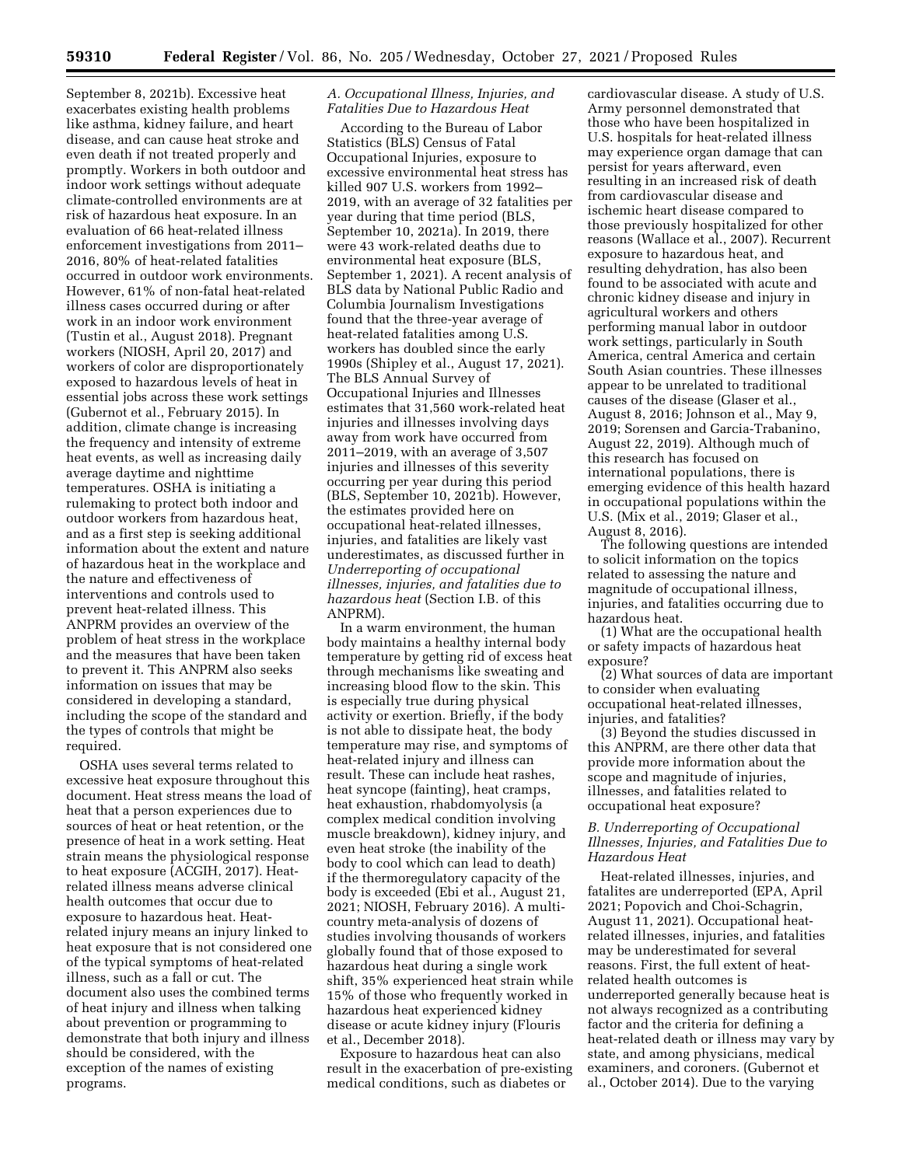September 8, 2021b). Excessive heat exacerbates existing health problems like asthma, kidney failure, and heart disease, and can cause heat stroke and even death if not treated properly and promptly. Workers in both outdoor and indoor work settings without adequate climate-controlled environments are at risk of hazardous heat exposure. In an evaluation of 66 heat-related illness enforcement investigations from 2011– 2016, 80% of heat-related fatalities occurred in outdoor work environments. However, 61% of non-fatal heat-related illness cases occurred during or after work in an indoor work environment (Tustin et al., August 2018). Pregnant workers (NIOSH, April 20, 2017) and workers of color are disproportionately exposed to hazardous levels of heat in essential jobs across these work settings (Gubernot et al., February 2015). In addition, climate change is increasing the frequency and intensity of extreme heat events, as well as increasing daily average daytime and nighttime temperatures. OSHA is initiating a rulemaking to protect both indoor and outdoor workers from hazardous heat, and as a first step is seeking additional information about the extent and nature of hazardous heat in the workplace and the nature and effectiveness of interventions and controls used to prevent heat-related illness. This ANPRM provides an overview of the problem of heat stress in the workplace and the measures that have been taken to prevent it. This ANPRM also seeks information on issues that may be considered in developing a standard, including the scope of the standard and the types of controls that might be required.

OSHA uses several terms related to excessive heat exposure throughout this document. Heat stress means the load of heat that a person experiences due to sources of heat or heat retention, or the presence of heat in a work setting. Heat strain means the physiological response to heat exposure (ACGIH, 2017). Heatrelated illness means adverse clinical health outcomes that occur due to exposure to hazardous heat. Heatrelated injury means an injury linked to heat exposure that is not considered one of the typical symptoms of heat-related illness, such as a fall or cut. The document also uses the combined terms of heat injury and illness when talking about prevention or programming to demonstrate that both injury and illness should be considered, with the exception of the names of existing programs.

## *A. Occupational Illness, Injuries, and Fatalities Due to Hazardous Heat*

According to the Bureau of Labor Statistics (BLS) Census of Fatal Occupational Injuries, exposure to excessive environmental heat stress has killed 907 U.S. workers from 1992– 2019, with an average of 32 fatalities per year during that time period (BLS, September 10, 2021a). In 2019, there were 43 work-related deaths due to environmental heat exposure (BLS, September 1, 2021). A recent analysis of BLS data by National Public Radio and Columbia Journalism Investigations found that the three-year average of heat-related fatalities among U.S. workers has doubled since the early 1990s (Shipley et al., August 17, 2021). The BLS Annual Survey of Occupational Injuries and Illnesses estimates that 31,560 work-related heat injuries and illnesses involving days away from work have occurred from 2011–2019, with an average of 3,507 injuries and illnesses of this severity occurring per year during this period (BLS, September 10, 2021b). However, the estimates provided here on occupational heat-related illnesses, injuries, and fatalities are likely vast underestimates, as discussed further in *Underreporting of occupational illnesses, injuries, and fatalities due to hazardous heat* (Section I.B. of this ANPRM).

In a warm environment, the human body maintains a healthy internal body temperature by getting rid of excess heat through mechanisms like sweating and increasing blood flow to the skin. This is especially true during physical activity or exertion. Briefly, if the body is not able to dissipate heat, the body temperature may rise, and symptoms of heat-related injury and illness can result. These can include heat rashes, heat syncope (fainting), heat cramps, heat exhaustion, rhabdomyolysis (a complex medical condition involving muscle breakdown), kidney injury, and even heat stroke (the inability of the body to cool which can lead to death) if the thermoregulatory capacity of the body is exceeded (Ebi et al., August 21, 2021; NIOSH, February 2016). A multicountry meta-analysis of dozens of studies involving thousands of workers globally found that of those exposed to hazardous heat during a single work shift, 35% experienced heat strain while 15% of those who frequently worked in hazardous heat experienced kidney disease or acute kidney injury (Flouris et al., December 2018).

Exposure to hazardous heat can also result in the exacerbation of pre-existing medical conditions, such as diabetes or

cardiovascular disease. A study of U.S. Army personnel demonstrated that those who have been hospitalized in U.S. hospitals for heat-related illness may experience organ damage that can persist for years afterward, even resulting in an increased risk of death from cardiovascular disease and ischemic heart disease compared to those previously hospitalized for other reasons (Wallace et al., 2007). Recurrent exposure to hazardous heat, and resulting dehydration, has also been found to be associated with acute and chronic kidney disease and injury in agricultural workers and others performing manual labor in outdoor work settings, particularly in South America, central America and certain South Asian countries. These illnesses appear to be unrelated to traditional causes of the disease (Glaser et al., August 8, 2016; Johnson et al., May 9, 2019; Sorensen and Garcia-Trabanino, August 22, 2019). Although much of this research has focused on international populations, there is emerging evidence of this health hazard in occupational populations within the U.S. (Mix et al., 2019; Glaser et al., August 8, 2016).

The following questions are intended to solicit information on the topics related to assessing the nature and magnitude of occupational illness, injuries, and fatalities occurring due to hazardous heat.

(1) What are the occupational health or safety impacts of hazardous heat exposure?

(2) What sources of data are important to consider when evaluating occupational heat-related illnesses, injuries, and fatalities?

(3) Beyond the studies discussed in this ANPRM, are there other data that provide more information about the scope and magnitude of injuries, illnesses, and fatalities related to occupational heat exposure?

## *B. Underreporting of Occupational Illnesses, Injuries, and Fatalities Due to Hazardous Heat*

Heat-related illnesses, injuries, and fatalites are underreported (EPA, April 2021; Popovich and Choi-Schagrin, August 11, 2021). Occupational heatrelated illnesses, injuries, and fatalities may be underestimated for several reasons. First, the full extent of heatrelated health outcomes is underreported generally because heat is not always recognized as a contributing factor and the criteria for defining a heat-related death or illness may vary by state, and among physicians, medical examiners, and coroners. (Gubernot et al., October 2014). Due to the varying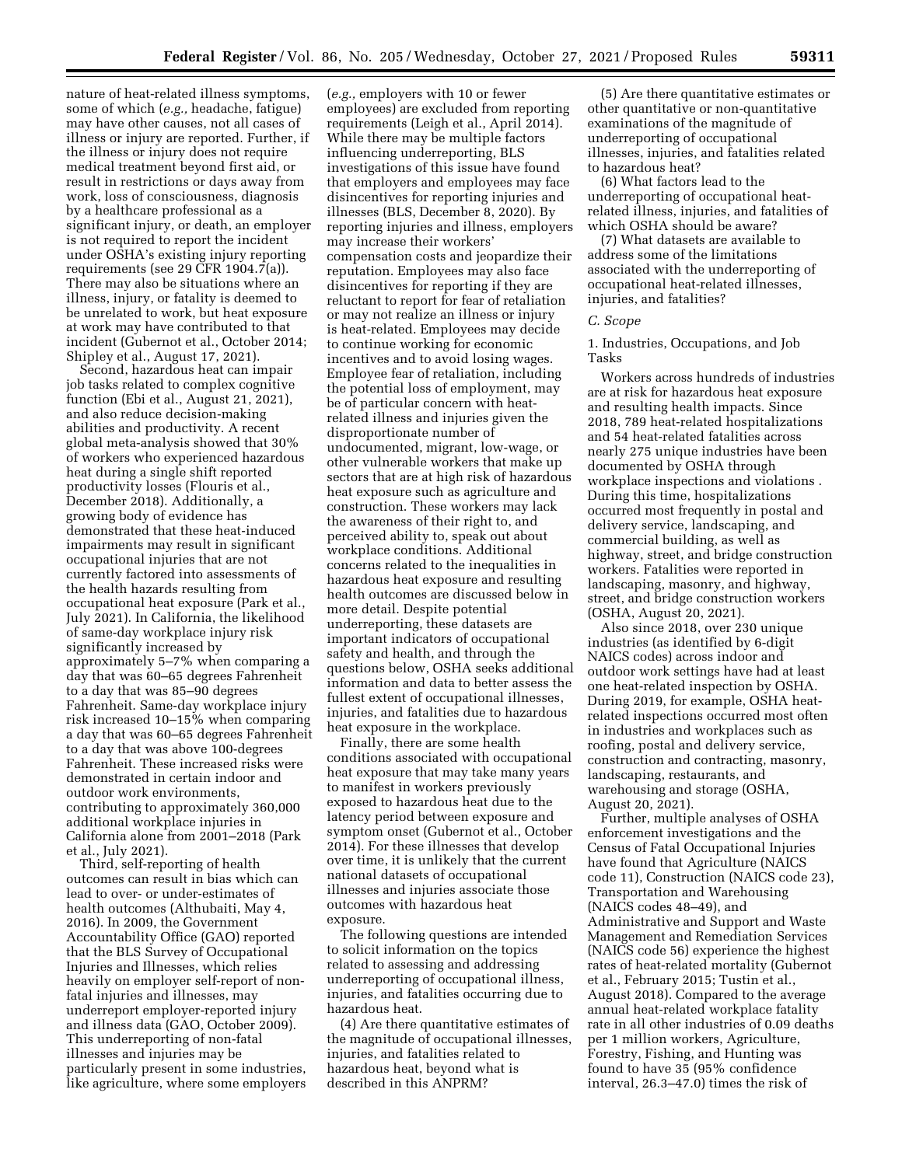nature of heat-related illness symptoms, some of which (*e.g.,* headache, fatigue) may have other causes, not all cases of illness or injury are reported. Further, if the illness or injury does not require medical treatment beyond first aid, or result in restrictions or days away from work, loss of consciousness, diagnosis by a healthcare professional as a significant injury, or death, an employer is not required to report the incident under OSHA's existing injury reporting requirements (see 29 CFR 1904.7(a)). There may also be situations where an illness, injury, or fatality is deemed to be unrelated to work, but heat exposure at work may have contributed to that incident (Gubernot et al., October 2014; Shipley et al., August 17, 2021).

Second, hazardous heat can impair job tasks related to complex cognitive function (Ebi et al., August 21, 2021), and also reduce decision-making abilities and productivity. A recent global meta-analysis showed that 30% of workers who experienced hazardous heat during a single shift reported productivity losses (Flouris et al., December 2018). Additionally, a growing body of evidence has demonstrated that these heat-induced impairments may result in significant occupational injuries that are not currently factored into assessments of the health hazards resulting from occupational heat exposure (Park et al., July 2021). In California, the likelihood of same-day workplace injury risk significantly increased by approximately 5–7% when comparing a day that was 60–65 degrees Fahrenheit to a day that was 85–90 degrees Fahrenheit. Same-day workplace injury risk increased 10–15% when comparing a day that was 60–65 degrees Fahrenheit to a day that was above 100-degrees Fahrenheit. These increased risks were demonstrated in certain indoor and outdoor work environments, contributing to approximately 360,000 additional workplace injuries in California alone from 2001–2018 (Park et al., July 2021).

Third, self-reporting of health outcomes can result in bias which can lead to over- or under-estimates of health outcomes (Althubaiti, May 4, 2016). In 2009, the Government Accountability Office (GAO) reported that the BLS Survey of Occupational Injuries and Illnesses, which relies heavily on employer self-report of nonfatal injuries and illnesses, may underreport employer-reported injury and illness data (GAO, October 2009). This underreporting of non-fatal illnesses and injuries may be particularly present in some industries, like agriculture, where some employers (*e.g.,* employers with 10 or fewer employees) are excluded from reporting requirements (Leigh et al., April 2014). While there may be multiple factors influencing underreporting, BLS investigations of this issue have found that employers and employees may face disincentives for reporting injuries and illnesses (BLS, December 8, 2020). By reporting injuries and illness, employers may increase their workers' compensation costs and jeopardize their reputation. Employees may also face disincentives for reporting if they are reluctant to report for fear of retaliation or may not realize an illness or injury is heat-related. Employees may decide to continue working for economic incentives and to avoid losing wages. Employee fear of retaliation, including the potential loss of employment, may be of particular concern with heatrelated illness and injuries given the disproportionate number of undocumented, migrant, low-wage, or other vulnerable workers that make up sectors that are at high risk of hazardous heat exposure such as agriculture and construction. These workers may lack the awareness of their right to, and perceived ability to, speak out about workplace conditions. Additional concerns related to the inequalities in hazardous heat exposure and resulting health outcomes are discussed below in more detail. Despite potential underreporting, these datasets are important indicators of occupational safety and health, and through the questions below, OSHA seeks additional information and data to better assess the fullest extent of occupational illnesses, injuries, and fatalities due to hazardous heat exposure in the workplace.

Finally, there are some health conditions associated with occupational heat exposure that may take many years to manifest in workers previously exposed to hazardous heat due to the latency period between exposure and symptom onset (Gubernot et al., October 2014). For these illnesses that develop over time, it is unlikely that the current national datasets of occupational illnesses and injuries associate those outcomes with hazardous heat exposure.

The following questions are intended to solicit information on the topics related to assessing and addressing underreporting of occupational illness, injuries, and fatalities occurring due to hazardous heat.

(4) Are there quantitative estimates of the magnitude of occupational illnesses, injuries, and fatalities related to hazardous heat, beyond what is described in this ANPRM?

(5) Are there quantitative estimates or other quantitative or non-quantitative examinations of the magnitude of underreporting of occupational illnesses, injuries, and fatalities related to hazardous heat?

(6) What factors lead to the underreporting of occupational heatrelated illness, injuries, and fatalities of which OSHA should be aware?

(7) What datasets are available to address some of the limitations associated with the underreporting of occupational heat-related illnesses, injuries, and fatalities?

### *C. Scope*

1. Industries, Occupations, and Job Tasks

Workers across hundreds of industries are at risk for hazardous heat exposure and resulting health impacts. Since 2018, 789 heat-related hospitalizations and 54 heat-related fatalities across nearly 275 unique industries have been documented by OSHA through workplace inspections and violations . During this time, hospitalizations occurred most frequently in postal and delivery service, landscaping, and commercial building, as well as highway, street, and bridge construction workers. Fatalities were reported in landscaping, masonry, and highway, street, and bridge construction workers (OSHA, August 20, 2021).

Also since 2018, over 230 unique industries (as identified by 6-digit NAICS codes) across indoor and outdoor work settings have had at least one heat-related inspection by OSHA. During 2019, for example, OSHA heatrelated inspections occurred most often in industries and workplaces such as roofing, postal and delivery service, construction and contracting, masonry, landscaping, restaurants, and warehousing and storage (OSHA, August 20, 2021).

Further, multiple analyses of OSHA enforcement investigations and the Census of Fatal Occupational Injuries have found that Agriculture (NAICS code 11), Construction (NAICS code 23), Transportation and Warehousing (NAICS codes 48–49), and Administrative and Support and Waste Management and Remediation Services (NAICS code 56) experience the highest rates of heat-related mortality (Gubernot et al., February 2015; Tustin et al., August 2018). Compared to the average annual heat-related workplace fatality rate in all other industries of 0.09 deaths per 1 million workers, Agriculture, Forestry, Fishing, and Hunting was found to have 35 (95% confidence interval, 26.3–47.0) times the risk of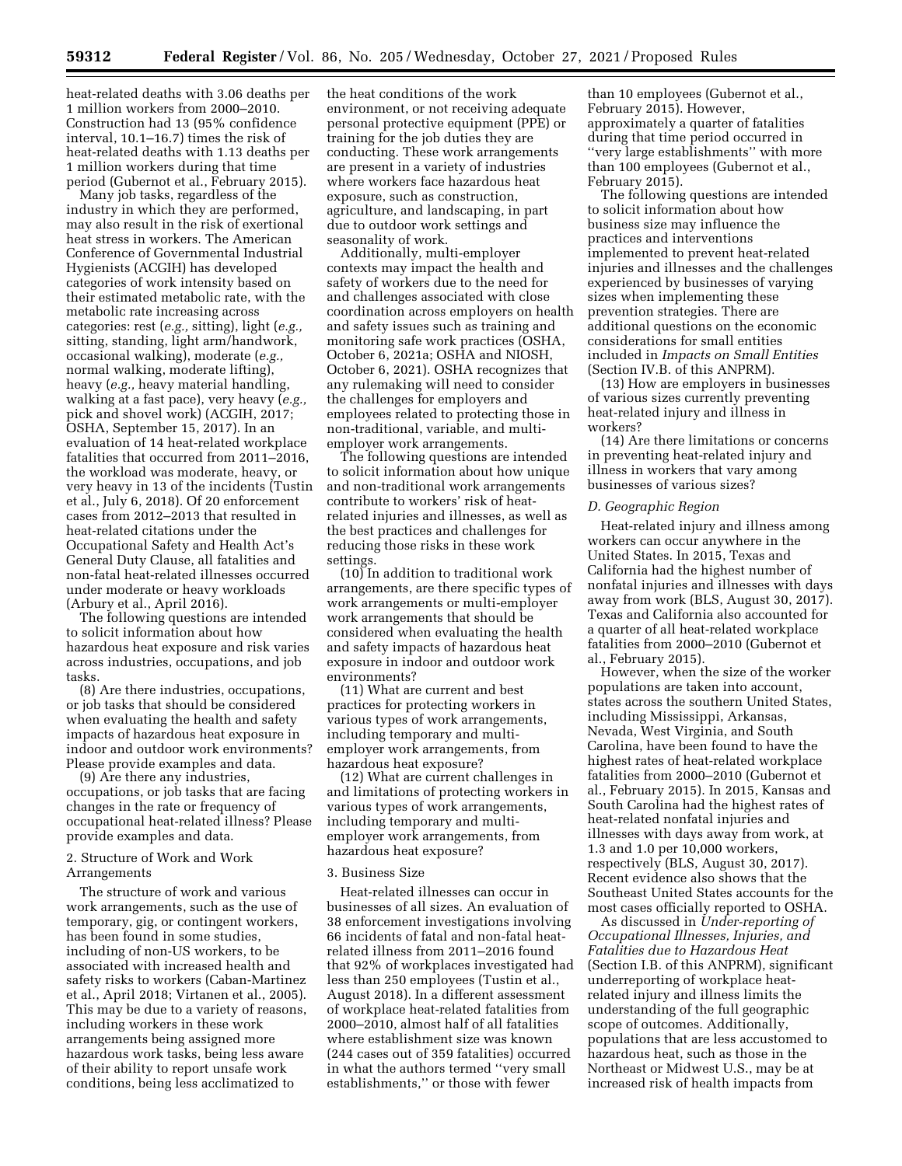heat-related deaths with 3.06 deaths per 1 million workers from 2000–2010. Construction had 13 (95% confidence interval, 10.1–16.7) times the risk of heat-related deaths with 1.13 deaths per 1 million workers during that time period (Gubernot et al., February 2015).

Many job tasks, regardless of the industry in which they are performed, may also result in the risk of exertional heat stress in workers. The American Conference of Governmental Industrial Hygienists (ACGIH) has developed categories of work intensity based on their estimated metabolic rate, with the metabolic rate increasing across categories: rest (*e.g.,* sitting), light (*e.g.,*  sitting, standing, light arm/handwork, occasional walking), moderate (*e.g.,*  normal walking, moderate lifting), heavy (*e.g.,* heavy material handling, walking at a fast pace), very heavy (*e.g.,*  pick and shovel work) (ACGIH, 2017; OSHA, September 15, 2017). In an evaluation of 14 heat-related workplace fatalities that occurred from 2011–2016, the workload was moderate, heavy, or very heavy in 13 of the incidents (Tustin et al., July 6, 2018). Of 20 enforcement cases from 2012–2013 that resulted in heat-related citations under the Occupational Safety and Health Act's General Duty Clause, all fatalities and non-fatal heat-related illnesses occurred under moderate or heavy workloads (Arbury et al., April 2016).

The following questions are intended to solicit information about how hazardous heat exposure and risk varies across industries, occupations, and job tasks.

(8) Are there industries, occupations, or job tasks that should be considered when evaluating the health and safety impacts of hazardous heat exposure in indoor and outdoor work environments? Please provide examples and data.

(9) Are there any industries, occupations, or job tasks that are facing changes in the rate or frequency of occupational heat-related illness? Please provide examples and data.

## 2. Structure of Work and Work Arrangements

The structure of work and various work arrangements, such as the use of temporary, gig, or contingent workers, has been found in some studies, including of non-US workers, to be associated with increased health and safety risks to workers (Caban-Martinez et al., April 2018; Virtanen et al., 2005). This may be due to a variety of reasons, including workers in these work arrangements being assigned more hazardous work tasks, being less aware of their ability to report unsafe work conditions, being less acclimatized to

the heat conditions of the work environment, or not receiving adequate personal protective equipment (PPE) or training for the job duties they are conducting. These work arrangements are present in a variety of industries where workers face hazardous heat exposure, such as construction, agriculture, and landscaping, in part due to outdoor work settings and seasonality of work.

Additionally, multi-employer contexts may impact the health and safety of workers due to the need for and challenges associated with close coordination across employers on health and safety issues such as training and monitoring safe work practices (OSHA, October 6, 2021a; OSHA and NIOSH, October 6, 2021). OSHA recognizes that any rulemaking will need to consider the challenges for employers and employees related to protecting those in non-traditional, variable, and multiemployer work arrangements.

The following questions are intended to solicit information about how unique and non-traditional work arrangements contribute to workers' risk of heatrelated injuries and illnesses, as well as the best practices and challenges for reducing those risks in these work settings.

(10) In addition to traditional work arrangements, are there specific types of work arrangements or multi-employer work arrangements that should be considered when evaluating the health and safety impacts of hazardous heat exposure in indoor and outdoor work environments?

(11) What are current and best practices for protecting workers in various types of work arrangements, including temporary and multiemployer work arrangements, from hazardous heat exposure?

(12) What are current challenges in and limitations of protecting workers in various types of work arrangements, including temporary and multiemployer work arrangements, from hazardous heat exposure?

### 3. Business Size

Heat-related illnesses can occur in businesses of all sizes. An evaluation of 38 enforcement investigations involving 66 incidents of fatal and non-fatal heatrelated illness from 2011–2016 found that 92% of workplaces investigated had less than 250 employees (Tustin et al., August 2018). In a different assessment of workplace heat-related fatalities from 2000–2010, almost half of all fatalities where establishment size was known (244 cases out of 359 fatalities) occurred in what the authors termed ''very small establishments,'' or those with fewer

than 10 employees (Gubernot et al., February 2015). However, approximately a quarter of fatalities during that time period occurred in ''very large establishments'' with more than 100 employees (Gubernot et al., February 2015).

The following questions are intended to solicit information about how business size may influence the practices and interventions implemented to prevent heat-related injuries and illnesses and the challenges experienced by businesses of varying sizes when implementing these prevention strategies. There are additional questions on the economic considerations for small entities included in *Impacts on Small Entities*  (Section IV.B. of this ANPRM).

(13) How are employers in businesses of various sizes currently preventing heat-related injury and illness in workers?

(14) Are there limitations or concerns in preventing heat-related injury and illness in workers that vary among businesses of various sizes?

### *D. Geographic Region*

Heat-related injury and illness among workers can occur anywhere in the United States. In 2015, Texas and California had the highest number of nonfatal injuries and illnesses with days away from work (BLS, August 30, 2017). Texas and California also accounted for a quarter of all heat-related workplace fatalities from 2000–2010 (Gubernot et al., February 2015).

However, when the size of the worker populations are taken into account, states across the southern United States, including Mississippi, Arkansas, Nevada, West Virginia, and South Carolina, have been found to have the highest rates of heat-related workplace fatalities from 2000–2010 (Gubernot et al., February 2015). In 2015, Kansas and South Carolina had the highest rates of heat-related nonfatal injuries and illnesses with days away from work, at 1.3 and 1.0 per 10,000 workers, respectively (BLS, August 30, 2017). Recent evidence also shows that the Southeast United States accounts for the most cases officially reported to OSHA.

As discussed in *Under-reporting of Occupational Illnesses, Injuries, and Fatalities due to Hazardous Heat*  (Section I.B. of this ANPRM), significant underreporting of workplace heatrelated injury and illness limits the understanding of the full geographic scope of outcomes. Additionally, populations that are less accustomed to hazardous heat, such as those in the Northeast or Midwest U.S., may be at increased risk of health impacts from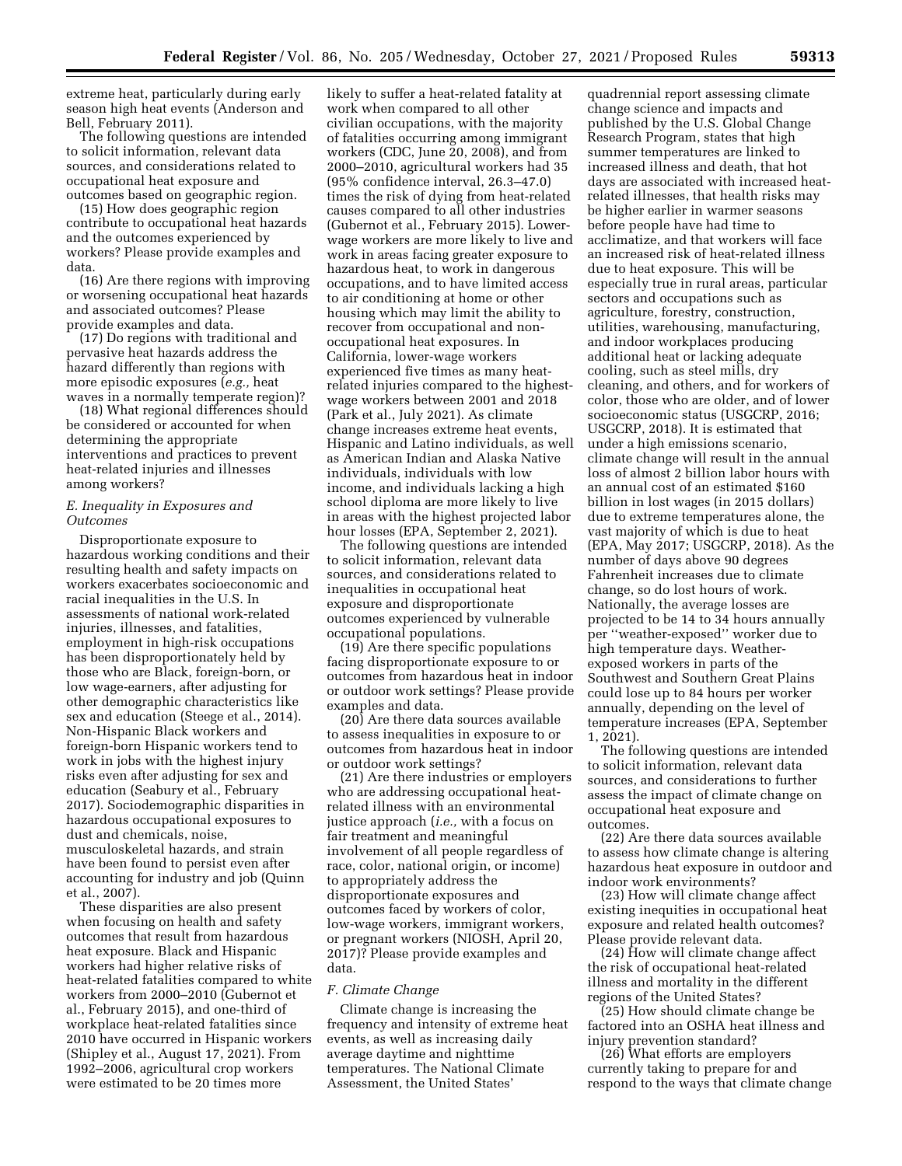extreme heat, particularly during early season high heat events (Anderson and Bell, February 2011).

The following questions are intended to solicit information, relevant data sources, and considerations related to occupational heat exposure and outcomes based on geographic region.

(15) How does geographic region contribute to occupational heat hazards and the outcomes experienced by workers? Please provide examples and data.

(16) Are there regions with improving or worsening occupational heat hazards and associated outcomes? Please provide examples and data.

(17) Do regions with traditional and pervasive heat hazards address the hazard differently than regions with more episodic exposures (*e.g.,* heat waves in a normally temperate region)?

(18) What regional differences should be considered or accounted for when determining the appropriate interventions and practices to prevent heat-related injuries and illnesses among workers?

## *E. Inequality in Exposures and Outcomes*

Disproportionate exposure to hazardous working conditions and their resulting health and safety impacts on workers exacerbates socioeconomic and racial inequalities in the U.S. In assessments of national work-related injuries, illnesses, and fatalities, employment in high-risk occupations has been disproportionately held by those who are Black, foreign-born, or low wage-earners, after adjusting for other demographic characteristics like sex and education (Steege et al., 2014). Non-Hispanic Black workers and foreign-born Hispanic workers tend to work in jobs with the highest injury risks even after adjusting for sex and education (Seabury et al., February 2017). Sociodemographic disparities in hazardous occupational exposures to dust and chemicals, noise, musculoskeletal hazards, and strain have been found to persist even after accounting for industry and job (Quinn et al., 2007).

These disparities are also present when focusing on health and safety outcomes that result from hazardous heat exposure. Black and Hispanic workers had higher relative risks of heat-related fatalities compared to white workers from 2000–2010 (Gubernot et al., February 2015), and one-third of workplace heat-related fatalities since 2010 have occurred in Hispanic workers (Shipley et al., August 17, 2021). From 1992–2006, agricultural crop workers were estimated to be 20 times more

likely to suffer a heat-related fatality at work when compared to all other civilian occupations, with the majority of fatalities occurring among immigrant workers (CDC, June 20, 2008), and from 2000–2010, agricultural workers had 35 (95% confidence interval, 26.3–47.0) times the risk of dying from heat-related causes compared to all other industries (Gubernot et al., February 2015). Lowerwage workers are more likely to live and work in areas facing greater exposure to hazardous heat, to work in dangerous occupations, and to have limited access to air conditioning at home or other housing which may limit the ability to recover from occupational and nonoccupational heat exposures. In California, lower-wage workers experienced five times as many heatrelated injuries compared to the highestwage workers between 2001 and 2018 (Park et al., July 2021). As climate change increases extreme heat events, Hispanic and Latino individuals, as well as American Indian and Alaska Native individuals, individuals with low income, and individuals lacking a high school diploma are more likely to live in areas with the highest projected labor hour losses (EPA, September 2, 2021).

The following questions are intended to solicit information, relevant data sources, and considerations related to inequalities in occupational heat exposure and disproportionate outcomes experienced by vulnerable occupational populations.

(19) Are there specific populations facing disproportionate exposure to or outcomes from hazardous heat in indoor or outdoor work settings? Please provide examples and data.

(20) Are there data sources available to assess inequalities in exposure to or outcomes from hazardous heat in indoor or outdoor work settings?

(21) Are there industries or employers who are addressing occupational heatrelated illness with an environmental justice approach (*i.e.,* with a focus on fair treatment and meaningful involvement of all people regardless of race, color, national origin, or income) to appropriately address the disproportionate exposures and outcomes faced by workers of color, low-wage workers, immigrant workers, or pregnant workers (NIOSH, April 20, 2017)? Please provide examples and data.

#### *F. Climate Change*

Climate change is increasing the frequency and intensity of extreme heat events, as well as increasing daily average daytime and nighttime temperatures. The National Climate Assessment, the United States'

quadrennial report assessing climate change science and impacts and published by the U.S. Global Change Research Program, states that high summer temperatures are linked to increased illness and death, that hot days are associated with increased heatrelated illnesses, that health risks may be higher earlier in warmer seasons before people have had time to acclimatize, and that workers will face an increased risk of heat-related illness due to heat exposure. This will be especially true in rural areas, particular sectors and occupations such as agriculture, forestry, construction, utilities, warehousing, manufacturing, and indoor workplaces producing additional heat or lacking adequate cooling, such as steel mills, dry cleaning, and others, and for workers of color, those who are older, and of lower socioeconomic status (USGCRP, 2016; USGCRP, 2018). It is estimated that under a high emissions scenario, climate change will result in the annual loss of almost 2 billion labor hours with an annual cost of an estimated \$160 billion in lost wages (in 2015 dollars) due to extreme temperatures alone, the vast majority of which is due to heat (EPA, May 2017; USGCRP, 2018). As the number of days above 90 degrees Fahrenheit increases due to climate change, so do lost hours of work. Nationally, the average losses are projected to be 14 to 34 hours annually per ''weather-exposed'' worker due to high temperature days. Weatherexposed workers in parts of the Southwest and Southern Great Plains could lose up to 84 hours per worker annually, depending on the level of temperature increases (EPA, September 1, 2021).

The following questions are intended to solicit information, relevant data sources, and considerations to further assess the impact of climate change on occupational heat exposure and outcomes.

(22) Are there data sources available to assess how climate change is altering hazardous heat exposure in outdoor and indoor work environments?

(23) How will climate change affect existing inequities in occupational heat exposure and related health outcomes? Please provide relevant data.

(24) How will climate change affect the risk of occupational heat-related illness and mortality in the different regions of the United States?

(25) How should climate change be factored into an OSHA heat illness and injury prevention standard?

(26) What efforts are employers currently taking to prepare for and respond to the ways that climate change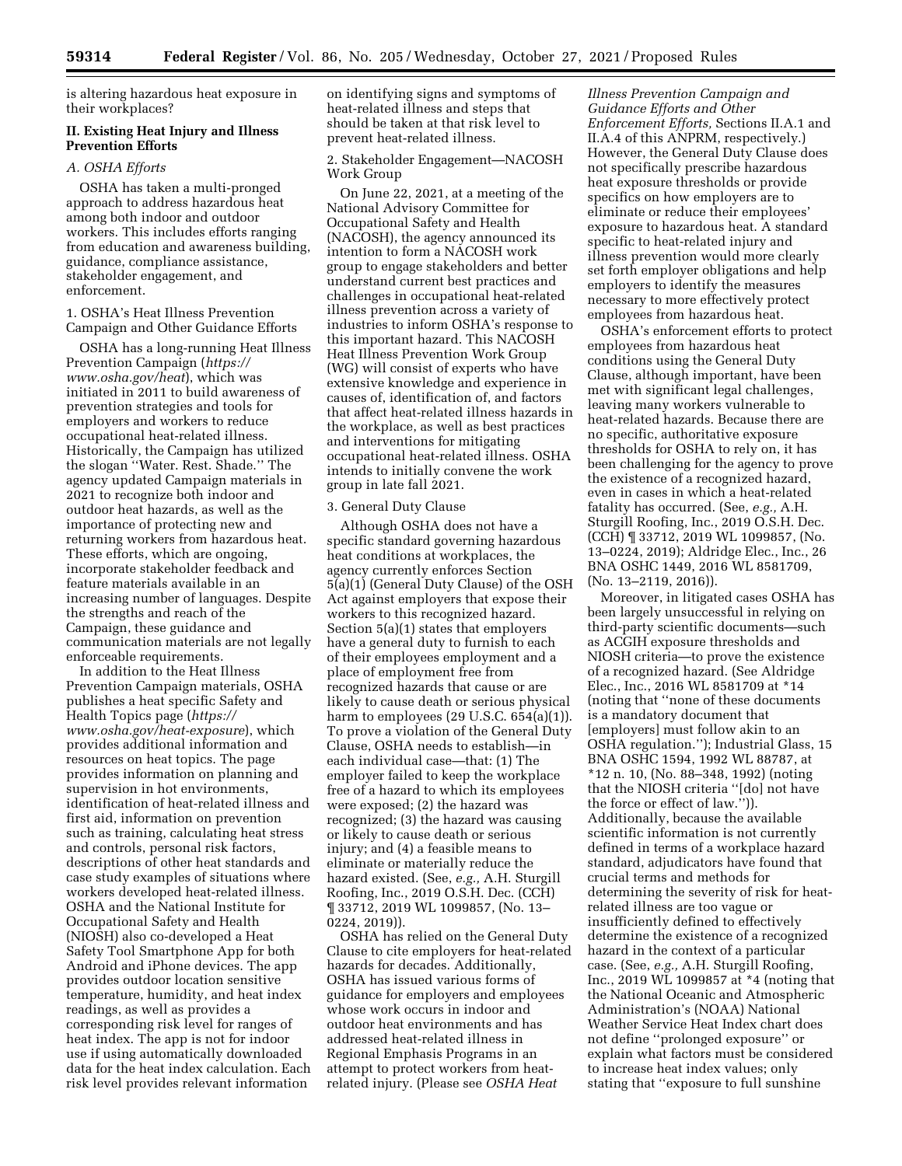is altering hazardous heat exposure in their workplaces?

## **II. Existing Heat Injury and Illness Prevention Efforts**

# *A. OSHA Efforts*

OSHA has taken a multi-pronged approach to address hazardous heat among both indoor and outdoor workers. This includes efforts ranging from education and awareness building, guidance, compliance assistance, stakeholder engagement, and enforcement.

1. OSHA's Heat Illness Prevention Campaign and Other Guidance Efforts

OSHA has a long-running Heat Illness Prevention Campaign (*[https://](https://www.osha.gov/heat) [www.osha.gov/heat](https://www.osha.gov/heat)*), which was initiated in 2011 to build awareness of prevention strategies and tools for employers and workers to reduce occupational heat-related illness. Historically, the Campaign has utilized the slogan ''Water. Rest. Shade.'' The agency updated Campaign materials in 2021 to recognize both indoor and outdoor heat hazards, as well as the importance of protecting new and returning workers from hazardous heat. These efforts, which are ongoing, incorporate stakeholder feedback and feature materials available in an increasing number of languages. Despite the strengths and reach of the Campaign, these guidance and communication materials are not legally enforceable requirements.

In addition to the Heat Illness Prevention Campaign materials, OSHA publishes a heat specific Safety and Health Topics page (*[https://](https://www.osha.gov/heat-exposure) [www.osha.gov/heat-exposure](https://www.osha.gov/heat-exposure)*), which provides additional information and resources on heat topics. The page provides information on planning and supervision in hot environments, identification of heat-related illness and first aid, information on prevention such as training, calculating heat stress and controls, personal risk factors, descriptions of other heat standards and case study examples of situations where workers developed heat-related illness. OSHA and the National Institute for Occupational Safety and Health (NIOSH) also co-developed a Heat Safety Tool Smartphone App for both Android and iPhone devices. The app provides outdoor location sensitive temperature, humidity, and heat index readings, as well as provides a corresponding risk level for ranges of heat index. The app is not for indoor use if using automatically downloaded data for the heat index calculation. Each risk level provides relevant information

on identifying signs and symptoms of heat-related illness and steps that should be taken at that risk level to prevent heat-related illness.

2. Stakeholder Engagement—NACOSH Work Group

On June 22, 2021, at a meeting of the National Advisory Committee for Occupational Safety and Health (NACOSH), the agency announced its intention to form a NACOSH work group to engage stakeholders and better understand current best practices and challenges in occupational heat-related illness prevention across a variety of industries to inform OSHA's response to this important hazard. This NACOSH Heat Illness Prevention Work Group (WG) will consist of experts who have extensive knowledge and experience in causes of, identification of, and factors that affect heat-related illness hazards in the workplace, as well as best practices and interventions for mitigating occupational heat-related illness. OSHA intends to initially convene the work group in late fall 2021.

#### 3. General Duty Clause

Although OSHA does not have a specific standard governing hazardous heat conditions at workplaces, the agency currently enforces Section 5(a)(1) (General Duty Clause) of the OSH Act against employers that expose their workers to this recognized hazard. Section 5(a)(1) states that employers have a general duty to furnish to each of their employees employment and a place of employment free from recognized hazards that cause or are likely to cause death or serious physical harm to employees (29 U.S.C. 654(a)(1)). To prove a violation of the General Duty Clause, OSHA needs to establish—in each individual case—that: (1) The employer failed to keep the workplace free of a hazard to which its employees were exposed; (2) the hazard was recognized; (3) the hazard was causing or likely to cause death or serious injury; and (4) a feasible means to eliminate or materially reduce the hazard existed. (See, *e.g.,* A.H. Sturgill Roofing, Inc., 2019 O.S.H. Dec. (CCH) ¶ 33712, 2019 WL 1099857, (No. 13– 0224, 2019)).

OSHA has relied on the General Duty Clause to cite employers for heat-related hazards for decades. Additionally, OSHA has issued various forms of guidance for employers and employees whose work occurs in indoor and outdoor heat environments and has addressed heat-related illness in Regional Emphasis Programs in an attempt to protect workers from heatrelated injury. (Please see *OSHA Heat* 

*Illness Prevention Campaign and Guidance Efforts and Other Enforcement Efforts,* Sections II.A.1 and II.A.4 of this ANPRM, respectively.) However, the General Duty Clause does not specifically prescribe hazardous heat exposure thresholds or provide specifics on how employers are to eliminate or reduce their employees' exposure to hazardous heat. A standard specific to heat-related injury and illness prevention would more clearly set forth employer obligations and help employers to identify the measures necessary to more effectively protect employees from hazardous heat.

OSHA's enforcement efforts to protect employees from hazardous heat conditions using the General Duty Clause, although important, have been met with significant legal challenges, leaving many workers vulnerable to heat-related hazards. Because there are no specific, authoritative exposure thresholds for OSHA to rely on, it has been challenging for the agency to prove the existence of a recognized hazard, even in cases in which a heat-related fatality has occurred. (See, *e.g.,* A.H. Sturgill Roofing, Inc., 2019 O.S.H. Dec. (CCH) ¶ 33712, 2019 WL 1099857, (No. 13–0224, 2019); Aldridge Elec., Inc., 26 BNA OSHC 1449, 2016 WL 8581709, (No. 13–2119, 2016)).

Moreover, in litigated cases OSHA has been largely unsuccessful in relying on third-party scientific documents—such as ACGIH exposure thresholds and NIOSH criteria—to prove the existence of a recognized hazard. (See Aldridge Elec., Inc., 2016 WL 8581709 at \*14 (noting that ''none of these documents is a mandatory document that [employers] must follow akin to an OSHA regulation.''); Industrial Glass, 15 BNA OSHC 1594, 1992 WL 88787, at \*12 n. 10, (No. 88–348, 1992) (noting that the NIOSH criteria ''[do] not have the force or effect of law.'')). Additionally, because the available scientific information is not currently defined in terms of a workplace hazard standard, adjudicators have found that crucial terms and methods for determining the severity of risk for heatrelated illness are too vague or insufficiently defined to effectively determine the existence of a recognized hazard in the context of a particular case. (See, *e.g.,* A.H. Sturgill Roofing, Inc., 2019 WL 1099857 at \*4 (noting that the National Oceanic and Atmospheric Administration's (NOAA) National Weather Service Heat Index chart does not define ''prolonged exposure'' or explain what factors must be considered to increase heat index values; only stating that ''exposure to full sunshine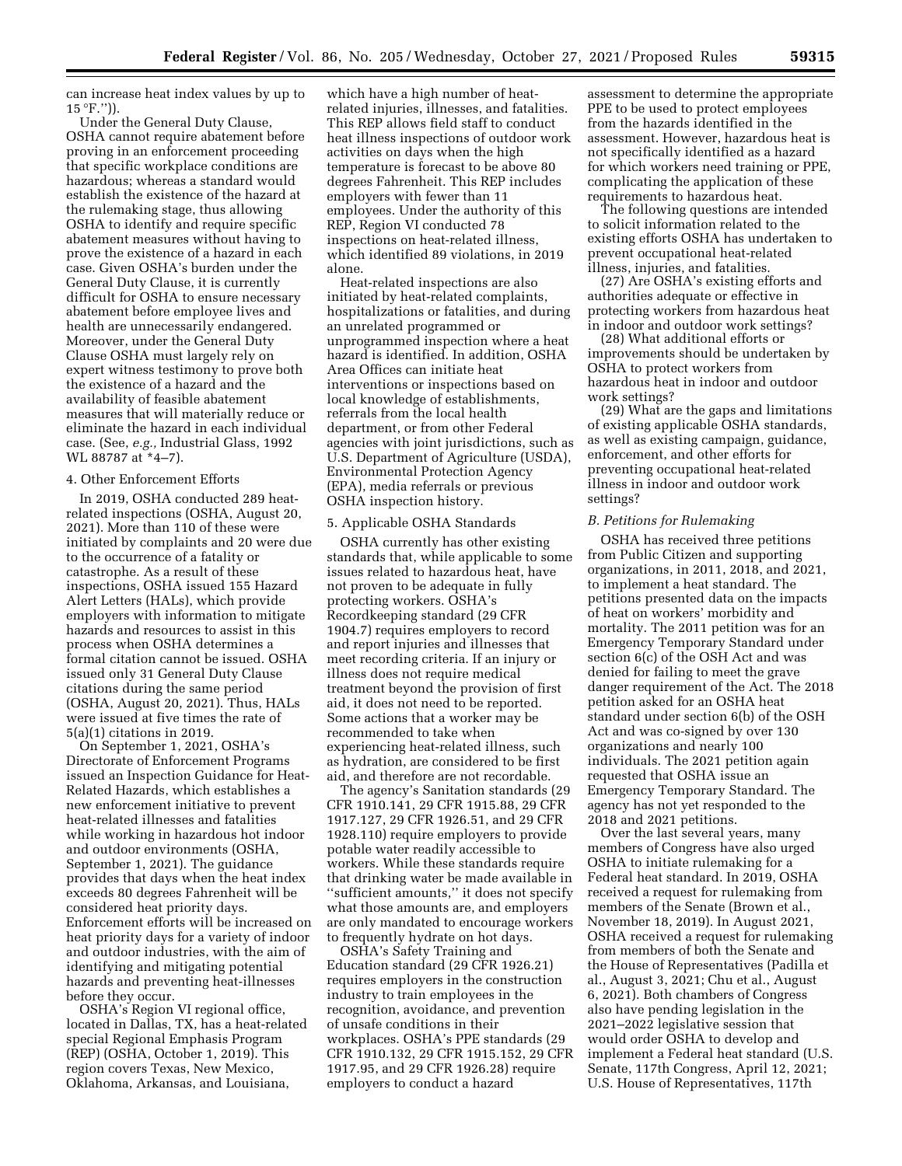can increase heat index values by up to  $15 °F.'$ ).

Under the General Duty Clause, OSHA cannot require abatement before proving in an enforcement proceeding that specific workplace conditions are hazardous; whereas a standard would establish the existence of the hazard at the rulemaking stage, thus allowing OSHA to identify and require specific abatement measures without having to prove the existence of a hazard in each case. Given OSHA's burden under the General Duty Clause, it is currently difficult for OSHA to ensure necessary abatement before employee lives and health are unnecessarily endangered. Moreover, under the General Duty Clause OSHA must largely rely on expert witness testimony to prove both the existence of a hazard and the availability of feasible abatement measures that will materially reduce or eliminate the hazard in each individual case. (See, *e.g.,* Industrial Glass, 1992 WL 88787 at \*4–7).

### 4. Other Enforcement Efforts

In 2019, OSHA conducted 289 heatrelated inspections (OSHA, August 20, 2021). More than 110 of these were initiated by complaints and 20 were due to the occurrence of a fatality or catastrophe. As a result of these inspections, OSHA issued 155 Hazard Alert Letters (HALs), which provide employers with information to mitigate hazards and resources to assist in this process when OSHA determines a formal citation cannot be issued. OSHA issued only 31 General Duty Clause citations during the same period (OSHA, August 20, 2021). Thus, HALs were issued at five times the rate of 5(a)(1) citations in 2019.

On September 1, 2021, OSHA's Directorate of Enforcement Programs issued an Inspection Guidance for Heat-Related Hazards, which establishes a new enforcement initiative to prevent heat-related illnesses and fatalities while working in hazardous hot indoor and outdoor environments (OSHA, September 1, 2021). The guidance provides that days when the heat index exceeds 80 degrees Fahrenheit will be considered heat priority days. Enforcement efforts will be increased on heat priority days for a variety of indoor and outdoor industries, with the aim of identifying and mitigating potential hazards and preventing heat-illnesses before they occur.

OSHA's Region VI regional office, located in Dallas, TX, has a heat-related special Regional Emphasis Program (REP) (OSHA, October 1, 2019). This region covers Texas, New Mexico, Oklahoma, Arkansas, and Louisiana,

which have a high number of heatrelated injuries, illnesses, and fatalities. This REP allows field staff to conduct heat illness inspections of outdoor work activities on days when the high temperature is forecast to be above 80 degrees Fahrenheit. This REP includes employers with fewer than 11 employees. Under the authority of this REP, Region VI conducted 78 inspections on heat-related illness, which identified 89 violations, in 2019 alone.

Heat-related inspections are also initiated by heat-related complaints, hospitalizations or fatalities, and during an unrelated programmed or unprogrammed inspection where a heat hazard is identified. In addition, OSHA Area Offices can initiate heat interventions or inspections based on local knowledge of establishments, referrals from the local health department, or from other Federal agencies with joint jurisdictions, such as U.S. Department of Agriculture (USDA), Environmental Protection Agency (EPA), media referrals or previous OSHA inspection history.

#### 5. Applicable OSHA Standards

OSHA currently has other existing standards that, while applicable to some issues related to hazardous heat, have not proven to be adequate in fully protecting workers. OSHA's Recordkeeping standard (29 CFR 1904.7) requires employers to record and report injuries and illnesses that meet recording criteria. If an injury or illness does not require medical treatment beyond the provision of first aid, it does not need to be reported. Some actions that a worker may be recommended to take when experiencing heat-related illness, such as hydration, are considered to be first aid, and therefore are not recordable.

The agency's Sanitation standards (29 CFR 1910.141, 29 CFR 1915.88, 29 CFR 1917.127, 29 CFR 1926.51, and 29 CFR 1928.110) require employers to provide potable water readily accessible to workers. While these standards require that drinking water be made available in ''sufficient amounts,'' it does not specify what those amounts are, and employers are only mandated to encourage workers to frequently hydrate on hot days.

OSHA's Safety Training and Education standard (29 CFR 1926.21) requires employers in the construction industry to train employees in the recognition, avoidance, and prevention of unsafe conditions in their workplaces. OSHA's PPE standards (29 CFR 1910.132, 29 CFR 1915.152, 29 CFR 1917.95, and 29 CFR 1926.28) require employers to conduct a hazard

assessment to determine the appropriate PPE to be used to protect employees from the hazards identified in the assessment. However, hazardous heat is not specifically identified as a hazard for which workers need training or PPE, complicating the application of these requirements to hazardous heat.

The following questions are intended to solicit information related to the existing efforts OSHA has undertaken to prevent occupational heat-related illness, injuries, and fatalities.

(27) Are OSHA's existing efforts and authorities adequate or effective in protecting workers from hazardous heat in indoor and outdoor work settings?

(28) What additional efforts or improvements should be undertaken by OSHA to protect workers from hazardous heat in indoor and outdoor work settings?

(29) What are the gaps and limitations of existing applicable OSHA standards, as well as existing campaign, guidance, enforcement, and other efforts for preventing occupational heat-related illness in indoor and outdoor work settings?

### *B. Petitions for Rulemaking*

OSHA has received three petitions from Public Citizen and supporting organizations, in 2011, 2018, and 2021, to implement a heat standard. The petitions presented data on the impacts of heat on workers' morbidity and mortality. The 2011 petition was for an Emergency Temporary Standard under section 6(c) of the OSH Act and was denied for failing to meet the grave danger requirement of the Act. The 2018 petition asked for an OSHA heat standard under section 6(b) of the OSH Act and was co-signed by over 130 organizations and nearly 100 individuals. The 2021 petition again requested that OSHA issue an Emergency Temporary Standard. The agency has not yet responded to the 2018 and 2021 petitions.

Over the last several years, many members of Congress have also urged OSHA to initiate rulemaking for a Federal heat standard. In 2019, OSHA received a request for rulemaking from members of the Senate (Brown et al., November 18, 2019). In August 2021, OSHA received a request for rulemaking from members of both the Senate and the House of Representatives (Padilla et al., August 3, 2021; Chu et al., August 6, 2021). Both chambers of Congress also have pending legislation in the 2021–2022 legislative session that would order OSHA to develop and implement a Federal heat standard (U.S. Senate, 117th Congress, April 12, 2021; U.S. House of Representatives, 117th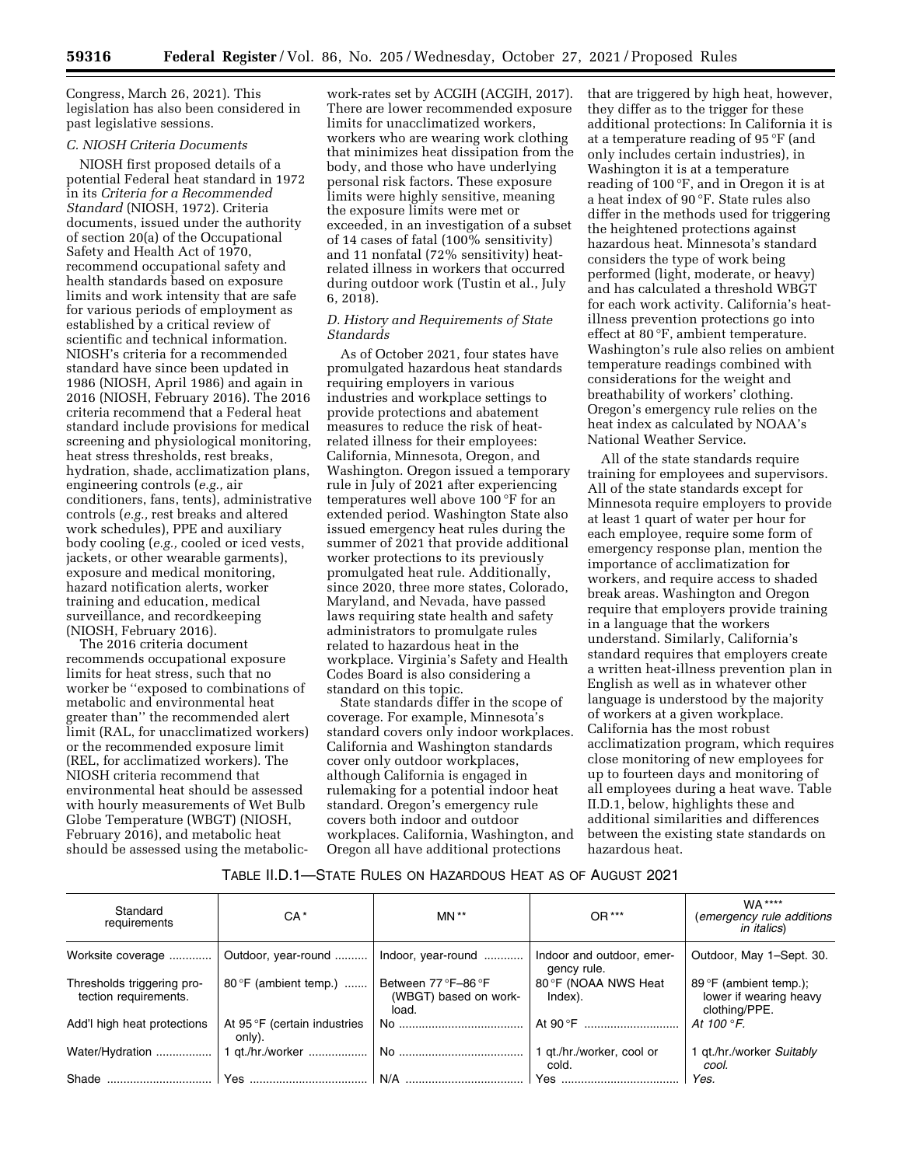Congress, March 26, 2021). This legislation has also been considered in past legislative sessions.

# *C. NIOSH Criteria Documents*

NIOSH first proposed details of a potential Federal heat standard in 1972 in its *Criteria for a Recommended Standard* (NIOSH, 1972). Criteria documents, issued under the authority of section 20(a) of the Occupational Safety and Health Act of 1970, recommend occupational safety and health standards based on exposure limits and work intensity that are safe for various periods of employment as established by a critical review of scientific and technical information. NIOSH's criteria for a recommended standard have since been updated in 1986 (NIOSH, April 1986) and again in 2016 (NIOSH, February 2016). The 2016 criteria recommend that a Federal heat standard include provisions for medical screening and physiological monitoring, heat stress thresholds, rest breaks, hydration, shade, acclimatization plans, engineering controls (*e.g.,* air conditioners, fans, tents), administrative controls (*e.g.,* rest breaks and altered work schedules), PPE and auxiliary body cooling (*e.g.,* cooled or iced vests, jackets, or other wearable garments), exposure and medical monitoring, hazard notification alerts, worker training and education, medical surveillance, and recordkeeping (NIOSH, February 2016).

The 2016 criteria document recommends occupational exposure limits for heat stress, such that no worker be ''exposed to combinations of metabolic and environmental heat greater than'' the recommended alert limit (RAL, for unacclimatized workers) or the recommended exposure limit (REL, for acclimatized workers). The NIOSH criteria recommend that environmental heat should be assessed with hourly measurements of Wet Bulb Globe Temperature (WBGT) (NIOSH, February 2016), and metabolic heat should be assessed using the metabolic-

work-rates set by ACGIH (ACGIH, 2017). There are lower recommended exposure limits for unacclimatized workers, workers who are wearing work clothing that minimizes heat dissipation from the body, and those who have underlying personal risk factors. These exposure limits were highly sensitive, meaning the exposure limits were met or exceeded, in an investigation of a subset of 14 cases of fatal (100% sensitivity) and 11 nonfatal (72% sensitivity) heatrelated illness in workers that occurred during outdoor work (Tustin et al., July 6, 2018).

# *D. History and Requirements of State Standards*

As of October 2021, four states have promulgated hazardous heat standards requiring employers in various industries and workplace settings to provide protections and abatement measures to reduce the risk of heatrelated illness for their employees: California, Minnesota, Oregon, and Washington. Oregon issued a temporary rule in July of 2021 after experiencing temperatures well above 100 °F for an extended period. Washington State also issued emergency heat rules during the summer of 2021 that provide additional worker protections to its previously promulgated heat rule. Additionally, since 2020, three more states, Colorado, Maryland, and Nevada, have passed laws requiring state health and safety administrators to promulgate rules related to hazardous heat in the workplace. Virginia's Safety and Health Codes Board is also considering a standard on this topic.

State standards differ in the scope of coverage. For example, Minnesota's standard covers only indoor workplaces. California and Washington standards cover only outdoor workplaces, although California is engaged in rulemaking for a potential indoor heat standard. Oregon's emergency rule covers both indoor and outdoor workplaces. California, Washington, and Oregon all have additional protections

that are triggered by high heat, however, they differ as to the trigger for these additional protections: In California it is at a temperature reading of 95 °F (and only includes certain industries), in Washington it is at a temperature reading of 100 °F, and in Oregon it is at a heat index of 90 °F. State rules also differ in the methods used for triggering the heightened protections against hazardous heat. Minnesota's standard considers the type of work being performed (light, moderate, or heavy) and has calculated a threshold WBGT for each work activity. California's heatillness prevention protections go into effect at 80 °F, ambient temperature. Washington's rule also relies on ambient temperature readings combined with considerations for the weight and breathability of workers' clothing. Oregon's emergency rule relies on the heat index as calculated by NOAA's National Weather Service.

All of the state standards require training for employees and supervisors. All of the state standards except for Minnesota require employers to provide at least 1 quart of water per hour for each employee, require some form of emergency response plan, mention the importance of acclimatization for workers, and require access to shaded break areas. Washington and Oregon require that employers provide training in a language that the workers understand. Similarly, California's standard requires that employers create a written heat-illness prevention plan in English as well as in whatever other language is understood by the majority of workers at a given workplace. California has the most robust acclimatization program, which requires close monitoring of new employees for up to fourteen days and monitoring of all employees during a heat wave. Table II.D.1, below, highlights these and additional similarities and differences between the existing state standards on hazardous heat.

# TABLE II.D.1—STATE RULES ON HAZARDOUS HEAT AS OF AUGUST 2021

| Standard<br>requirements                            | $CA*$                                    | $MN**$                                                | OR ***                                   | <b>WA ****</b><br>(emergency rule additions<br>in italics)        |
|-----------------------------------------------------|------------------------------------------|-------------------------------------------------------|------------------------------------------|-------------------------------------------------------------------|
|                                                     | Worksite coverage    Outdoor, year-round | Indoor, year-round                                    | Indoor and outdoor, emer-<br>gency rule. | Outdoor, May 1-Sept. 30.                                          |
| Thresholds triggering pro-<br>tection requirements. | $80^{\circ}$ F (ambient temp.)           | Between 77 °F-86 °F<br>(WBGT) based on work-<br>load. | 80 °F (NOAA NWS Heat<br>Index).          | 89 °F (ambient temp.);<br>lower if wearing heavy<br>clothing/PPE. |
| Add'l high heat protections                         | At 95 °F (certain industries<br>only).   |                                                       | At 90 °F                                 | At 100 $\degree$ F.                                               |
| Water/Hydration                                     | 1 qt./hr./worker                         |                                                       | 1 gt./hr./worker, cool or<br>cold.       | 1 qt./hr./worker Suitably<br>cool.                                |
|                                                     |                                          |                                                       |                                          | Yes.                                                              |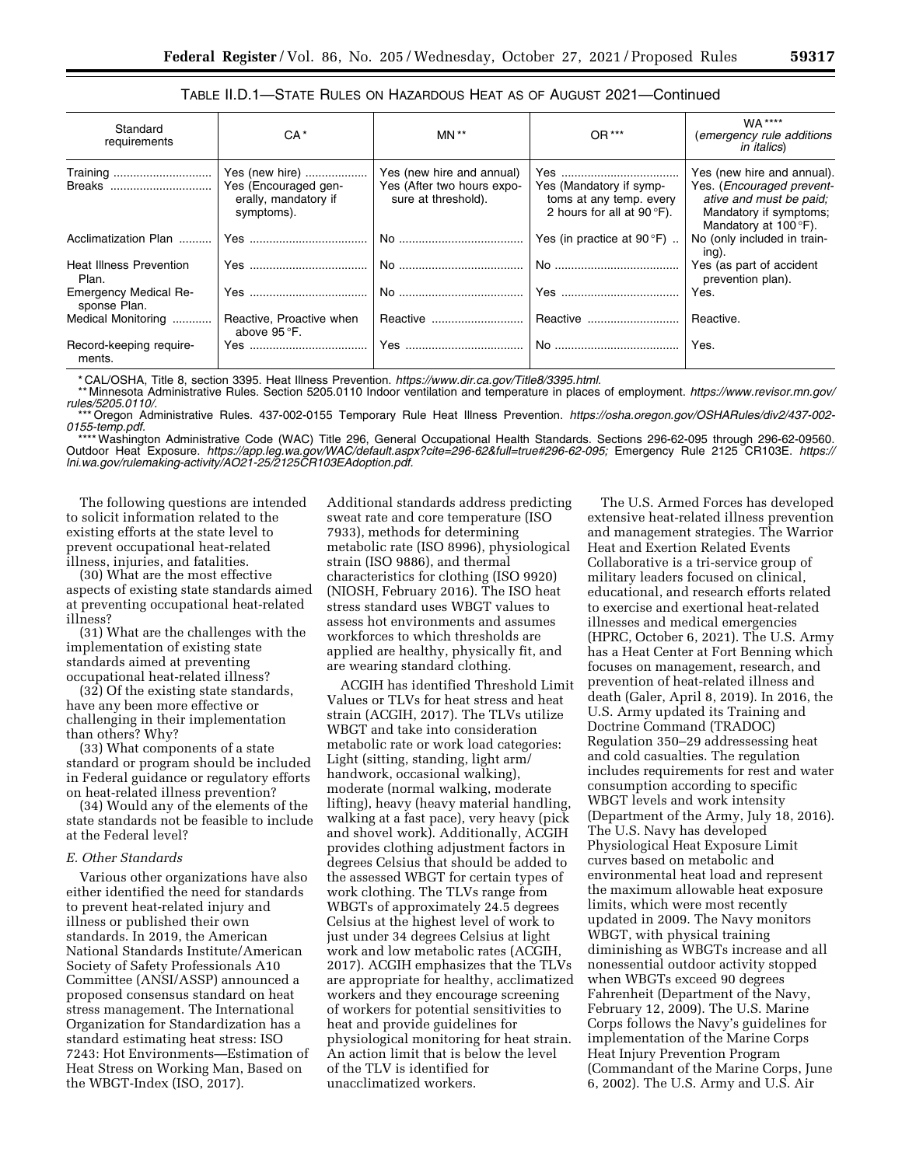# TABLE II.D.1—STATE RULES ON HAZARDOUS HEAT AS OF AUGUST 2021—Continued

| Standard<br>requirements                     | $CA*$                                                                        | $MN**$                                                                         | OR ***                                                                                    | <b>WA ****</b><br>(emergency rule additions<br><i>in italics</i> )                                                                    |
|----------------------------------------------|------------------------------------------------------------------------------|--------------------------------------------------------------------------------|-------------------------------------------------------------------------------------------|---------------------------------------------------------------------------------------------------------------------------------------|
| Training<br>Breaks                           | Yes (new hire)<br>Yes (Encouraged gen-<br>erally, mandatory if<br>symptoms). | Yes (new hire and annual)<br>Yes (After two hours expo-<br>sure at threshold). | Yes (Mandatory if symp-<br>toms at any temp. every<br>2 hours for all at $90^{\circ}$ F). | Yes (new hire and annual).<br>Yes. (Encouraged prevent-<br>ative and must be paid;<br>Mandatory if symptoms;<br>Mandatory at 100 °F). |
| Acclimatization Plan                         |                                                                              |                                                                                | Yes (in practice at $90^{\circ}$ F)                                                       | No (only included in train-<br>ing).                                                                                                  |
| <b>Heat Illness Prevention</b><br>Plan.      |                                                                              |                                                                                |                                                                                           | Yes (as part of accident<br>prevention plan).                                                                                         |
| <b>Emergency Medical Re-</b><br>sponse Plan. |                                                                              |                                                                                |                                                                                           | Yes.                                                                                                                                  |
| Medical Monitoring                           | Reactive, Proactive when<br>above 95 °F.                                     | Reactive                                                                       | Reactive                                                                                  | Reactive.                                                                                                                             |
| Record-keeping require-<br>ments.            | Yes ………………………………                                                             |                                                                                |                                                                                           | Yes.                                                                                                                                  |

\* CAL/OSHA, Title 8, section 3395. Heat Illness Prevention. *[https://www.dir.ca.gov/Title8/3395.html.](https://www.dir.ca.gov/Title8/3395.html)* 

\*\* Minnesota Administrative Rules. Section 5205.0110 Indoor ventilation and temperature in places of employment. *[https://www.revisor.mn.gov/](https://www.revisor.mn.gov/rules/5205.0110/)  [rules/5205.0110/.](https://www.revisor.mn.gov/rules/5205.0110/)* 

\*\*\* Oregon Administrative Rules. 437-002-0155 Temporary Rule Heat Illness Prevention. *[https://osha.oregon.gov/OSHARules/div2/437-002-](https://osha.oregon.gov/OSHARules/div2/437-002-0155-temp.pdf)  [0155-temp.pdf.](https://osha.oregon.gov/OSHARules/div2/437-002-0155-temp.pdf)* 

\*\*\*\* Washington Administrative Code (WAC) Title 296, General Occupational Health Standards. Sections 296-62-095 through 296-62-09560. Outdoor Heat Exposure. *[https://app.leg.wa.gov/WAC/default.aspx?cite=296-62&full=true#296-62-095;](https://app.leg.wa.gov/WAC/default.aspx?cite=296-62&full=true#296-62-095)* Emergency Rule 2125 CR103E. *[https://](https://lni.wa.gov/rulemaking-activity/AO21-25/2125CR103EAdoption.pdf) [lni.wa.gov/rulemaking-activity/AO21-25/2125CR103EAdoption.pdf.](https://lni.wa.gov/rulemaking-activity/AO21-25/2125CR103EAdoption.pdf)* 

The following questions are intended to solicit information related to the existing efforts at the state level to prevent occupational heat-related illness, injuries, and fatalities.

(30) What are the most effective aspects of existing state standards aimed at preventing occupational heat-related illness?

(31) What are the challenges with the implementation of existing state standards aimed at preventing occupational heat-related illness?

(32) Of the existing state standards, have any been more effective or challenging in their implementation than others? Why?

(33) What components of a state standard or program should be included in Federal guidance or regulatory efforts on heat-related illness prevention?

(34) Would any of the elements of the state standards not be feasible to include at the Federal level?

## *E. Other Standards*

Various other organizations have also either identified the need for standards to prevent heat-related injury and illness or published their own standards. In 2019, the American National Standards Institute/American Society of Safety Professionals A10 Committee (ANSI/ASSP) announced a proposed consensus standard on heat stress management. The International Organization for Standardization has a standard estimating heat stress: ISO 7243: Hot Environments—Estimation of Heat Stress on Working Man, Based on the WBGT-Index (ISO, 2017).

Additional standards address predicting sweat rate and core temperature (ISO 7933), methods for determining metabolic rate (ISO 8996), physiological strain (ISO 9886), and thermal characteristics for clothing (ISO 9920) (NIOSH, February 2016). The ISO heat stress standard uses WBGT values to assess hot environments and assumes workforces to which thresholds are applied are healthy, physically fit, and are wearing standard clothing.

ACGIH has identified Threshold Limit Values or TLVs for heat stress and heat strain (ACGIH, 2017). The TLVs utilize WBGT and take into consideration metabolic rate or work load categories: Light (sitting, standing, light arm/ handwork, occasional walking), moderate (normal walking, moderate lifting), heavy (heavy material handling, walking at a fast pace), very heavy (pick and shovel work). Additionally, ACGIH provides clothing adjustment factors in degrees Celsius that should be added to the assessed WBGT for certain types of work clothing. The TLVs range from WBGTs of approximately 24.5 degrees Celsius at the highest level of work to just under 34 degrees Celsius at light work and low metabolic rates (ACGIH, 2017). ACGIH emphasizes that the TLVs are appropriate for healthy, acclimatized workers and they encourage screening of workers for potential sensitivities to heat and provide guidelines for physiological monitoring for heat strain. An action limit that is below the level of the TLV is identified for unacclimatized workers.

The U.S. Armed Forces has developed extensive heat-related illness prevention and management strategies. The Warrior Heat and Exertion Related Events Collaborative is a tri-service group of military leaders focused on clinical, educational, and research efforts related to exercise and exertional heat-related illnesses and medical emergencies (HPRC, October 6, 2021). The U.S. Army has a Heat Center at Fort Benning which focuses on management, research, and prevention of heat-related illness and death (Galer, April 8, 2019). In 2016, the U.S. Army updated its Training and Doctrine Command (TRADOC) Regulation 350–29 addressessing heat and cold casualties. The regulation includes requirements for rest and water consumption according to specific WBGT levels and work intensity (Department of the Army, July 18, 2016). The U.S. Navy has developed Physiological Heat Exposure Limit curves based on metabolic and environmental heat load and represent the maximum allowable heat exposure limits, which were most recently updated in 2009. The Navy monitors WBGT, with physical training diminishing as WBGTs increase and all nonessential outdoor activity stopped when WBGTs exceed 90 degrees Fahrenheit (Department of the Navy, February 12, 2009). The U.S. Marine Corps follows the Navy's guidelines for implementation of the Marine Corps Heat Injury Prevention Program (Commandant of the Marine Corps, June 6, 2002). The U.S. Army and U.S. Air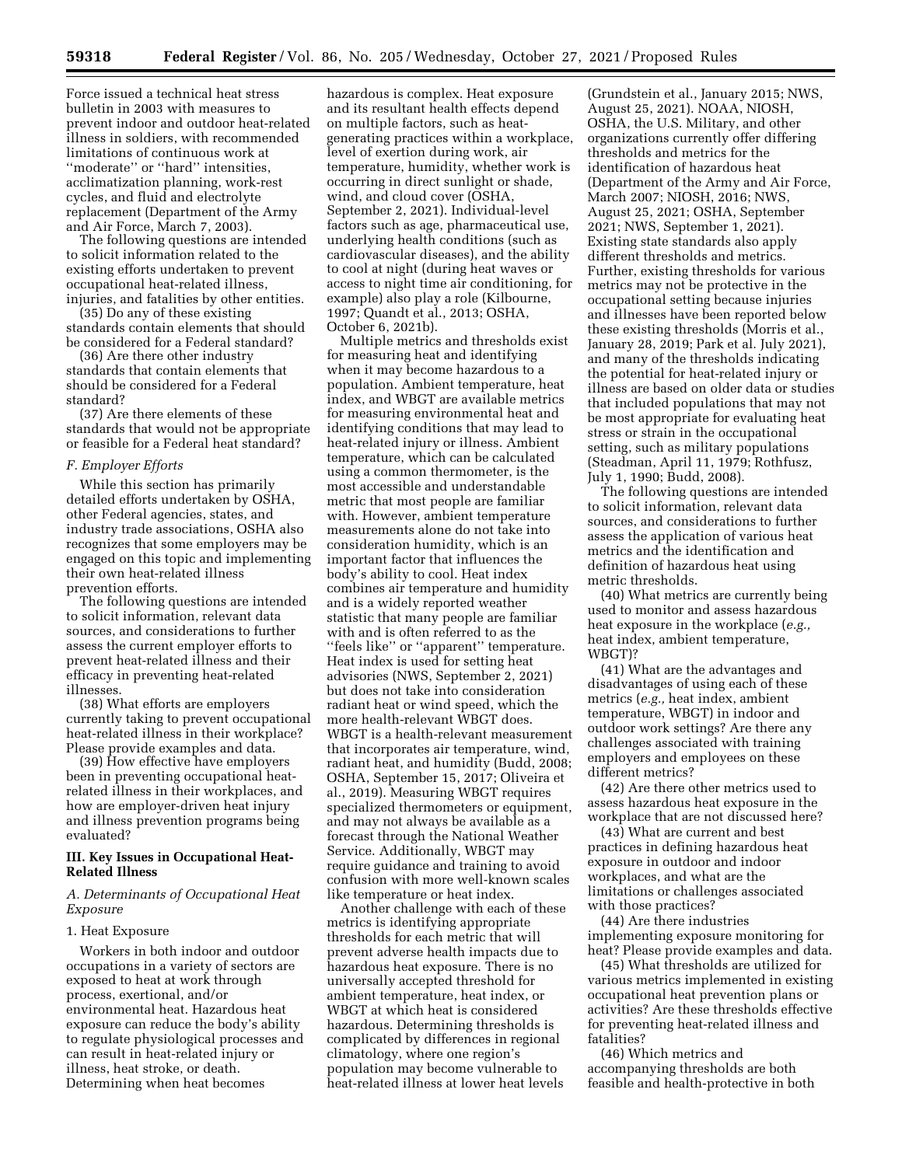Force issued a technical heat stress bulletin in 2003 with measures to prevent indoor and outdoor heat-related illness in soldiers, with recommended limitations of continuous work at ''moderate'' or ''hard'' intensities, acclimatization planning, work-rest cycles, and fluid and electrolyte replacement (Department of the Army and Air Force, March 7, 2003).

The following questions are intended to solicit information related to the existing efforts undertaken to prevent occupational heat-related illness, injuries, and fatalities by other entities.

(35) Do any of these existing standards contain elements that should be considered for a Federal standard?

(36) Are there other industry standards that contain elements that should be considered for a Federal standard?

(37) Are there elements of these standards that would not be appropriate or feasible for a Federal heat standard?

### *F. Employer Efforts*

While this section has primarily detailed efforts undertaken by OSHA, other Federal agencies, states, and industry trade associations, OSHA also recognizes that some employers may be engaged on this topic and implementing their own heat-related illness prevention efforts.

The following questions are intended to solicit information, relevant data sources, and considerations to further assess the current employer efforts to prevent heat-related illness and their efficacy in preventing heat-related illnesses.

(38) What efforts are employers currently taking to prevent occupational heat-related illness in their workplace? Please provide examples and data.

(39) How effective have employers been in preventing occupational heatrelated illness in their workplaces, and how are employer-driven heat injury and illness prevention programs being evaluated?

## **III. Key Issues in Occupational Heat-Related Illness**

## *A. Determinants of Occupational Heat Exposure*

#### 1. Heat Exposure

Workers in both indoor and outdoor occupations in a variety of sectors are exposed to heat at work through process, exertional, and/or environmental heat. Hazardous heat exposure can reduce the body's ability to regulate physiological processes and can result in heat-related injury or illness, heat stroke, or death. Determining when heat becomes

hazardous is complex. Heat exposure and its resultant health effects depend on multiple factors, such as heatgenerating practices within a workplace, level of exertion during work, air temperature, humidity, whether work is occurring in direct sunlight or shade, wind, and cloud cover (OSHA, September 2, 2021). Individual-level factors such as age, pharmaceutical use, underlying health conditions (such as cardiovascular diseases), and the ability to cool at night (during heat waves or access to night time air conditioning, for example) also play a role (Kilbourne, 1997; Quandt et al., 2013; OSHA, October 6, 2021b).

Multiple metrics and thresholds exist for measuring heat and identifying when it may become hazardous to a population. Ambient temperature, heat index, and WBGT are available metrics for measuring environmental heat and identifying conditions that may lead to heat-related injury or illness. Ambient temperature, which can be calculated using a common thermometer, is the most accessible and understandable metric that most people are familiar with. However, ambient temperature measurements alone do not take into consideration humidity, which is an important factor that influences the body's ability to cool. Heat index combines air temperature and humidity and is a widely reported weather statistic that many people are familiar with and is often referred to as the "feels like" or "apparent" temperature. Heat index is used for setting heat advisories (NWS, September 2, 2021) but does not take into consideration radiant heat or wind speed, which the more health-relevant WBGT does. WBGT is a health-relevant measurement that incorporates air temperature, wind, radiant heat, and humidity (Budd, 2008; OSHA, September 15, 2017; Oliveira et al., 2019). Measuring WBGT requires specialized thermometers or equipment, and may not always be available as a forecast through the National Weather Service. Additionally, WBGT may require guidance and training to avoid confusion with more well-known scales like temperature or heat index.

Another challenge with each of these metrics is identifying appropriate thresholds for each metric that will prevent adverse health impacts due to hazardous heat exposure. There is no universally accepted threshold for ambient temperature, heat index, or WBGT at which heat is considered hazardous. Determining thresholds is complicated by differences in regional climatology, where one region's population may become vulnerable to heat-related illness at lower heat levels

(Grundstein et al., January 2015; NWS, August 25, 2021). NOAA, NIOSH, OSHA, the U.S. Military, and other organizations currently offer differing thresholds and metrics for the identification of hazardous heat (Department of the Army and Air Force, March 2007; NIOSH, 2016; NWS, August 25, 2021; OSHA, September 2021; NWS, September 1, 2021). Existing state standards also apply different thresholds and metrics. Further, existing thresholds for various metrics may not be protective in the occupational setting because injuries and illnesses have been reported below these existing thresholds (Morris et al., January 28, 2019; Park et al. July 2021), and many of the thresholds indicating the potential for heat-related injury or illness are based on older data or studies that included populations that may not be most appropriate for evaluating heat stress or strain in the occupational setting, such as military populations (Steadman, April 11, 1979; Rothfusz, July 1, 1990; Budd, 2008).

The following questions are intended to solicit information, relevant data sources, and considerations to further assess the application of various heat metrics and the identification and definition of hazardous heat using metric thresholds.

(40) What metrics are currently being used to monitor and assess hazardous heat exposure in the workplace (*e.g.,*  heat index, ambient temperature, WBGT)?

(41) What are the advantages and disadvantages of using each of these metrics (*e.g.,* heat index, ambient temperature, WBGT) in indoor and outdoor work settings? Are there any challenges associated with training employers and employees on these different metrics?

(42) Are there other metrics used to assess hazardous heat exposure in the workplace that are not discussed here?

(43) What are current and best practices in defining hazardous heat exposure in outdoor and indoor workplaces, and what are the limitations or challenges associated with those practices?

(44) Are there industries implementing exposure monitoring for heat? Please provide examples and data.

(45) What thresholds are utilized for various metrics implemented in existing occupational heat prevention plans or activities? Are these thresholds effective for preventing heat-related illness and fatalities?

(46) Which metrics and accompanying thresholds are both feasible and health-protective in both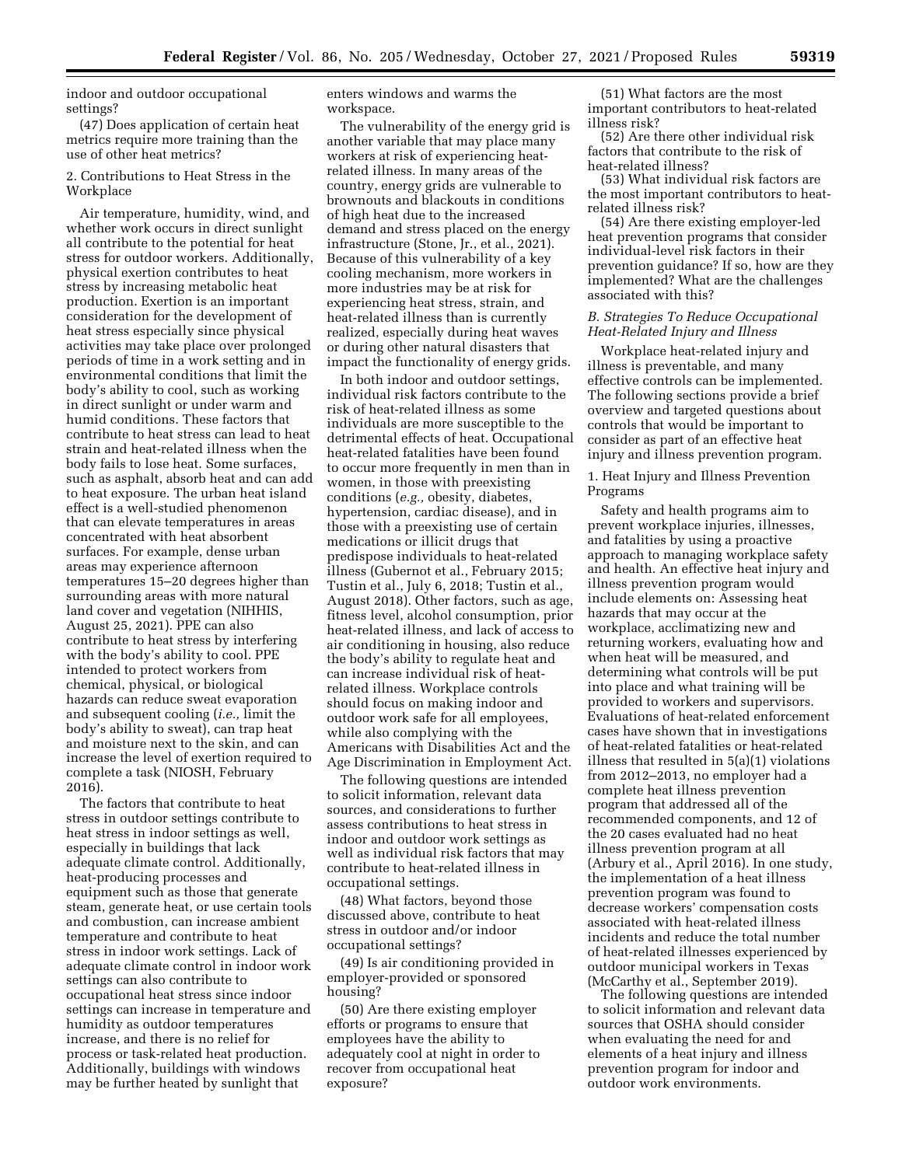indoor and outdoor occupational settings?

(47) Does application of certain heat metrics require more training than the use of other heat metrics?

2. Contributions to Heat Stress in the Workplace

Air temperature, humidity, wind, and whether work occurs in direct sunlight all contribute to the potential for heat stress for outdoor workers. Additionally, physical exertion contributes to heat stress by increasing metabolic heat production. Exertion is an important consideration for the development of heat stress especially since physical activities may take place over prolonged periods of time in a work setting and in environmental conditions that limit the body's ability to cool, such as working in direct sunlight or under warm and humid conditions. These factors that contribute to heat stress can lead to heat strain and heat-related illness when the body fails to lose heat. Some surfaces, such as asphalt, absorb heat and can add to heat exposure. The urban heat island effect is a well-studied phenomenon that can elevate temperatures in areas concentrated with heat absorbent surfaces. For example, dense urban areas may experience afternoon temperatures 15–20 degrees higher than surrounding areas with more natural land cover and vegetation (NIHHIS, August 25, 2021). PPE can also contribute to heat stress by interfering with the body's ability to cool. PPE intended to protect workers from chemical, physical, or biological hazards can reduce sweat evaporation and subsequent cooling (*i.e.,* limit the body's ability to sweat), can trap heat and moisture next to the skin, and can increase the level of exertion required to complete a task (NIOSH, February 2016).

The factors that contribute to heat stress in outdoor settings contribute to heat stress in indoor settings as well, especially in buildings that lack adequate climate control. Additionally, heat-producing processes and equipment such as those that generate steam, generate heat, or use certain tools and combustion, can increase ambient temperature and contribute to heat stress in indoor work settings. Lack of adequate climate control in indoor work settings can also contribute to occupational heat stress since indoor settings can increase in temperature and humidity as outdoor temperatures increase, and there is no relief for process or task-related heat production. Additionally, buildings with windows may be further heated by sunlight that

enters windows and warms the workspace.

The vulnerability of the energy grid is another variable that may place many workers at risk of experiencing heatrelated illness. In many areas of the country, energy grids are vulnerable to brownouts and blackouts in conditions of high heat due to the increased demand and stress placed on the energy infrastructure (Stone, Jr., et al., 2021). Because of this vulnerability of a key cooling mechanism, more workers in more industries may be at risk for experiencing heat stress, strain, and heat-related illness than is currently realized, especially during heat waves or during other natural disasters that impact the functionality of energy grids.

In both indoor and outdoor settings, individual risk factors contribute to the risk of heat-related illness as some individuals are more susceptible to the detrimental effects of heat. Occupational heat-related fatalities have been found to occur more frequently in men than in women, in those with preexisting conditions (*e.g.,* obesity, diabetes, hypertension, cardiac disease), and in those with a preexisting use of certain medications or illicit drugs that predispose individuals to heat-related illness (Gubernot et al., February 2015; Tustin et al., July 6, 2018; Tustin et al., August 2018). Other factors, such as age, fitness level, alcohol consumption, prior heat-related illness, and lack of access to air conditioning in housing, also reduce the body's ability to regulate heat and can increase individual risk of heatrelated illness. Workplace controls should focus on making indoor and outdoor work safe for all employees, while also complying with the Americans with Disabilities Act and the Age Discrimination in Employment Act.

The following questions are intended to solicit information, relevant data sources, and considerations to further assess contributions to heat stress in indoor and outdoor work settings as well as individual risk factors that may contribute to heat-related illness in occupational settings.

(48) What factors, beyond those discussed above, contribute to heat stress in outdoor and/or indoor occupational settings?

(49) Is air conditioning provided in employer-provided or sponsored housing?

(50) Are there existing employer efforts or programs to ensure that employees have the ability to adequately cool at night in order to recover from occupational heat exposure?

(51) What factors are the most important contributors to heat-related illness risk?

(52) Are there other individual risk factors that contribute to the risk of heat-related illness?

(53) What individual risk factors are the most important contributors to heatrelated illness risk?

(54) Are there existing employer-led heat prevention programs that consider individual-level risk factors in their prevention guidance? If so, how are they implemented? What are the challenges associated with this?

## *B. Strategies To Reduce Occupational Heat-Related Injury and Illness*

Workplace heat-related injury and illness is preventable, and many effective controls can be implemented. The following sections provide a brief overview and targeted questions about controls that would be important to consider as part of an effective heat injury and illness prevention program.

1. Heat Injury and Illness Prevention Programs

Safety and health programs aim to prevent workplace injuries, illnesses, and fatalities by using a proactive approach to managing workplace safety and health. An effective heat injury and illness prevention program would include elements on: Assessing heat hazards that may occur at the workplace, acclimatizing new and returning workers, evaluating how and when heat will be measured, and determining what controls will be put into place and what training will be provided to workers and supervisors. Evaluations of heat-related enforcement cases have shown that in investigations of heat-related fatalities or heat-related illness that resulted in 5(a)(1) violations from 2012–2013, no employer had a complete heat illness prevention program that addressed all of the recommended components, and 12 of the 20 cases evaluated had no heat illness prevention program at all (Arbury et al., April 2016). In one study, the implementation of a heat illness prevention program was found to decrease workers' compensation costs associated with heat-related illness incidents and reduce the total number of heat-related illnesses experienced by outdoor municipal workers in Texas (McCarthy et al., September 2019).

The following questions are intended to solicit information and relevant data sources that OSHA should consider when evaluating the need for and elements of a heat injury and illness prevention program for indoor and outdoor work environments.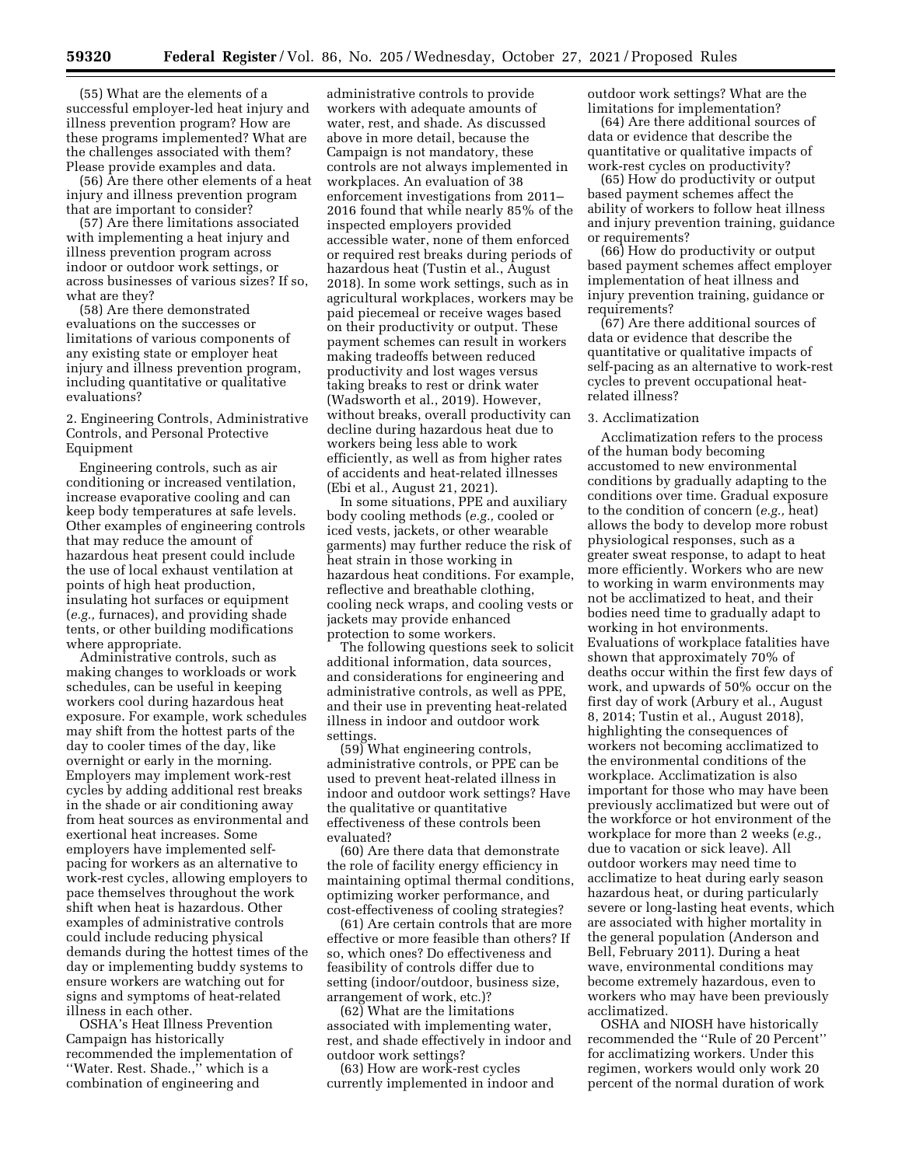(55) What are the elements of a successful employer-led heat injury and illness prevention program? How are these programs implemented? What are the challenges associated with them? Please provide examples and data.

(56) Are there other elements of a heat injury and illness prevention program that are important to consider?

(57) Are there limitations associated with implementing a heat injury and illness prevention program across indoor or outdoor work settings, or across businesses of various sizes? If so, what are they?

(58) Are there demonstrated evaluations on the successes or limitations of various components of any existing state or employer heat injury and illness prevention program, including quantitative or qualitative evaluations?

2. Engineering Controls, Administrative Controls, and Personal Protective Equipment

Engineering controls, such as air conditioning or increased ventilation, increase evaporative cooling and can keep body temperatures at safe levels. Other examples of engineering controls that may reduce the amount of hazardous heat present could include the use of local exhaust ventilation at points of high heat production, insulating hot surfaces or equipment (*e.g.,* furnaces), and providing shade tents, or other building modifications where appropriate.

Administrative controls, such as making changes to workloads or work schedules, can be useful in keeping workers cool during hazardous heat exposure. For example, work schedules may shift from the hottest parts of the day to cooler times of the day, like overnight or early in the morning. Employers may implement work-rest cycles by adding additional rest breaks in the shade or air conditioning away from heat sources as environmental and exertional heat increases. Some employers have implemented selfpacing for workers as an alternative to work-rest cycles, allowing employers to pace themselves throughout the work shift when heat is hazardous. Other examples of administrative controls could include reducing physical demands during the hottest times of the day or implementing buddy systems to ensure workers are watching out for signs and symptoms of heat-related illness in each other.

OSHA's Heat Illness Prevention Campaign has historically recommended the implementation of ''Water. Rest. Shade.,'' which is a combination of engineering and

administrative controls to provide workers with adequate amounts of water, rest, and shade. As discussed above in more detail, because the Campaign is not mandatory, these controls are not always implemented in workplaces. An evaluation of 38 enforcement investigations from 2011– 2016 found that while nearly 85% of the inspected employers provided accessible water, none of them enforced or required rest breaks during periods of hazardous heat (Tustin et al., August 2018). In some work settings, such as in agricultural workplaces, workers may be paid piecemeal or receive wages based on their productivity or output. These payment schemes can result in workers making tradeoffs between reduced productivity and lost wages versus taking breaks to rest or drink water (Wadsworth et al., 2019). However, without breaks, overall productivity can decline during hazardous heat due to workers being less able to work efficiently, as well as from higher rates of accidents and heat-related illnesses (Ebi et al., August 21, 2021).

In some situations, PPE and auxiliary body cooling methods (*e.g.,* cooled or iced vests, jackets, or other wearable garments) may further reduce the risk of heat strain in those working in hazardous heat conditions. For example, reflective and breathable clothing, cooling neck wraps, and cooling vests or jackets may provide enhanced protection to some workers.

The following questions seek to solicit additional information, data sources, and considerations for engineering and administrative controls, as well as PPE, and their use in preventing heat-related illness in indoor and outdoor work settings.

(59) What engineering controls, administrative controls, or PPE can be used to prevent heat-related illness in indoor and outdoor work settings? Have the qualitative or quantitative effectiveness of these controls been evaluated?

(60) Are there data that demonstrate the role of facility energy efficiency in maintaining optimal thermal conditions, optimizing worker performance, and cost-effectiveness of cooling strategies?

(61) Are certain controls that are more effective or more feasible than others? If so, which ones? Do effectiveness and feasibility of controls differ due to setting (indoor/outdoor, business size, arrangement of work, etc.)?

(62) What are the limitations associated with implementing water, rest, and shade effectively in indoor and outdoor work settings?

(63) How are work-rest cycles currently implemented in indoor and outdoor work settings? What are the limitations for implementation?

(64) Are there additional sources of data or evidence that describe the quantitative or qualitative impacts of work-rest cycles on productivity?

(65) How do productivity or output based payment schemes affect the ability of workers to follow heat illness and injury prevention training, guidance or requirements?

(66) How do productivity or output based payment schemes affect employer implementation of heat illness and injury prevention training, guidance or requirements?

(67) Are there additional sources of data or evidence that describe the quantitative or qualitative impacts of self-pacing as an alternative to work-rest cycles to prevent occupational heatrelated illness?

## 3. Acclimatization

Acclimatization refers to the process of the human body becoming accustomed to new environmental conditions by gradually adapting to the conditions over time. Gradual exposure to the condition of concern (*e.g.,* heat) allows the body to develop more robust physiological responses, such as a greater sweat response, to adapt to heat more efficiently. Workers who are new to working in warm environments may not be acclimatized to heat, and their bodies need time to gradually adapt to working in hot environments. Evaluations of workplace fatalities have shown that approximately 70% of deaths occur within the first few days of work, and upwards of 50% occur on the first day of work (Arbury et al., August 8, 2014; Tustin et al., August 2018), highlighting the consequences of workers not becoming acclimatized to the environmental conditions of the workplace. Acclimatization is also important for those who may have been previously acclimatized but were out of the workforce or hot environment of the workplace for more than 2 weeks (*e.g.,*  due to vacation or sick leave). All outdoor workers may need time to acclimatize to heat during early season hazardous heat, or during particularly severe or long-lasting heat events, which are associated with higher mortality in the general population (Anderson and Bell, February 2011). During a heat wave, environmental conditions may become extremely hazardous, even to workers who may have been previously acclimatized.

OSHA and NIOSH have historically recommended the ''Rule of 20 Percent'' for acclimatizing workers. Under this regimen, workers would only work 20 percent of the normal duration of work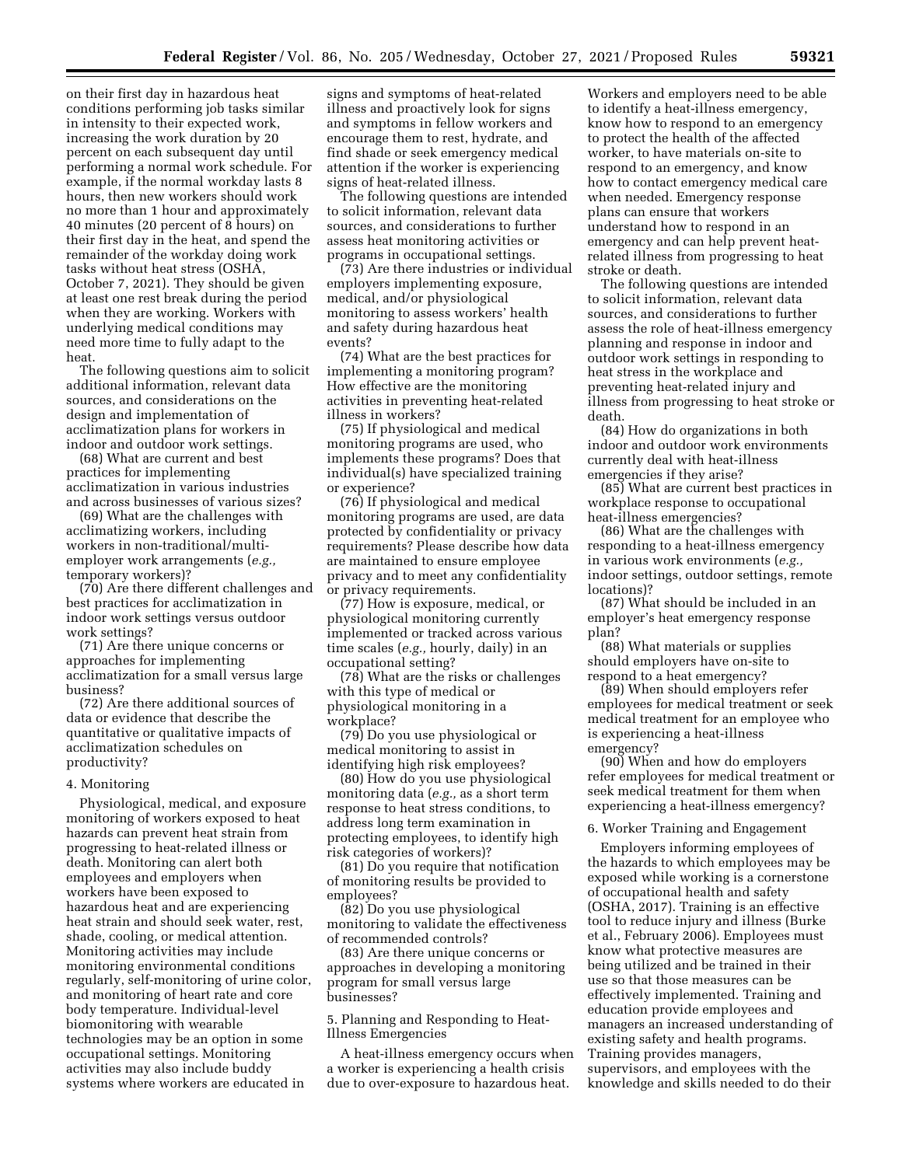on their first day in hazardous heat conditions performing job tasks similar in intensity to their expected work, increasing the work duration by 20 percent on each subsequent day until performing a normal work schedule. For example, if the normal workday lasts 8 hours, then new workers should work no more than 1 hour and approximately 40 minutes (20 percent of 8 hours) on their first day in the heat, and spend the remainder of the workday doing work tasks without heat stress (OSHA, October 7, 2021). They should be given at least one rest break during the period when they are working. Workers with underlying medical conditions may need more time to fully adapt to the heat.

The following questions aim to solicit additional information, relevant data sources, and considerations on the design and implementation of acclimatization plans for workers in indoor and outdoor work settings.

(68) What are current and best practices for implementing acclimatization in various industries and across businesses of various sizes?

(69) What are the challenges with acclimatizing workers, including workers in non-traditional/multiemployer work arrangements (*e.g.,*  temporary workers)?

(70) Are there different challenges and best practices for acclimatization in indoor work settings versus outdoor work settings?

(71) Are there unique concerns or approaches for implementing acclimatization for a small versus large business?

(72) Are there additional sources of data or evidence that describe the quantitative or qualitative impacts of acclimatization schedules on productivity?

### 4. Monitoring

Physiological, medical, and exposure monitoring of workers exposed to heat hazards can prevent heat strain from progressing to heat-related illness or death. Monitoring can alert both employees and employers when workers have been exposed to hazardous heat and are experiencing heat strain and should seek water, rest, shade, cooling, or medical attention. Monitoring activities may include monitoring environmental conditions regularly, self-monitoring of urine color, and monitoring of heart rate and core body temperature. Individual-level biomonitoring with wearable technologies may be an option in some occupational settings. Monitoring activities may also include buddy systems where workers are educated in

signs and symptoms of heat-related illness and proactively look for signs and symptoms in fellow workers and encourage them to rest, hydrate, and find shade or seek emergency medical attention if the worker is experiencing signs of heat-related illness.

The following questions are intended to solicit information, relevant data sources, and considerations to further assess heat monitoring activities or programs in occupational settings.

(73) Are there industries or individual employers implementing exposure, medical, and/or physiological monitoring to assess workers' health and safety during hazardous heat events?

(74) What are the best practices for implementing a monitoring program? How effective are the monitoring activities in preventing heat-related illness in workers?

(75) If physiological and medical monitoring programs are used, who implements these programs? Does that individual(s) have specialized training or experience?

(76) If physiological and medical monitoring programs are used, are data protected by confidentiality or privacy requirements? Please describe how data are maintained to ensure employee privacy and to meet any confidentiality or privacy requirements.

(77) How is exposure, medical, or physiological monitoring currently implemented or tracked across various time scales (*e.g.,* hourly, daily) in an occupational setting?

(78) What are the risks or challenges with this type of medical or physiological monitoring in a workplace?

(79) Do you use physiological or medical monitoring to assist in identifying high risk employees?

(80) How do you use physiological monitoring data (*e.g.,* as a short term response to heat stress conditions, to address long term examination in protecting employees, to identify high risk categories of workers)?

(81) Do you require that notification of monitoring results be provided to employees?

(82) Do you use physiological monitoring to validate the effectiveness of recommended controls?

(83) Are there unique concerns or approaches in developing a monitoring program for small versus large businesses?

5. Planning and Responding to Heat-Illness Emergencies

A heat-illness emergency occurs when a worker is experiencing a health crisis due to over-exposure to hazardous heat.

Workers and employers need to be able to identify a heat-illness emergency, know how to respond to an emergency to protect the health of the affected worker, to have materials on-site to respond to an emergency, and know how to contact emergency medical care when needed. Emergency response plans can ensure that workers understand how to respond in an emergency and can help prevent heatrelated illness from progressing to heat stroke or death.

The following questions are intended to solicit information, relevant data sources, and considerations to further assess the role of heat-illness emergency planning and response in indoor and outdoor work settings in responding to heat stress in the workplace and preventing heat-related injury and illness from progressing to heat stroke or death.

(84) How do organizations in both indoor and outdoor work environments currently deal with heat-illness emergencies if they arise?

(85) What are current best practices in workplace response to occupational heat-illness emergencies?

(86) What are the challenges with responding to a heat-illness emergency in various work environments (*e.g.,*  indoor settings, outdoor settings, remote locations)?

(87) What should be included in an employer's heat emergency response plan?

(88) What materials or supplies should employers have on-site to respond to a heat emergency?

(89) When should employers refer employees for medical treatment or seek medical treatment for an employee who is experiencing a heat-illness emergency?

(90) When and how do employers refer employees for medical treatment or seek medical treatment for them when experiencing a heat-illness emergency?

6. Worker Training and Engagement

Employers informing employees of the hazards to which employees may be exposed while working is a cornerstone of occupational health and safety (OSHA, 2017). Training is an effective tool to reduce injury and illness (Burke et al., February 2006). Employees must know what protective measures are being utilized and be trained in their use so that those measures can be effectively implemented. Training and education provide employees and managers an increased understanding of existing safety and health programs. Training provides managers, supervisors, and employees with the knowledge and skills needed to do their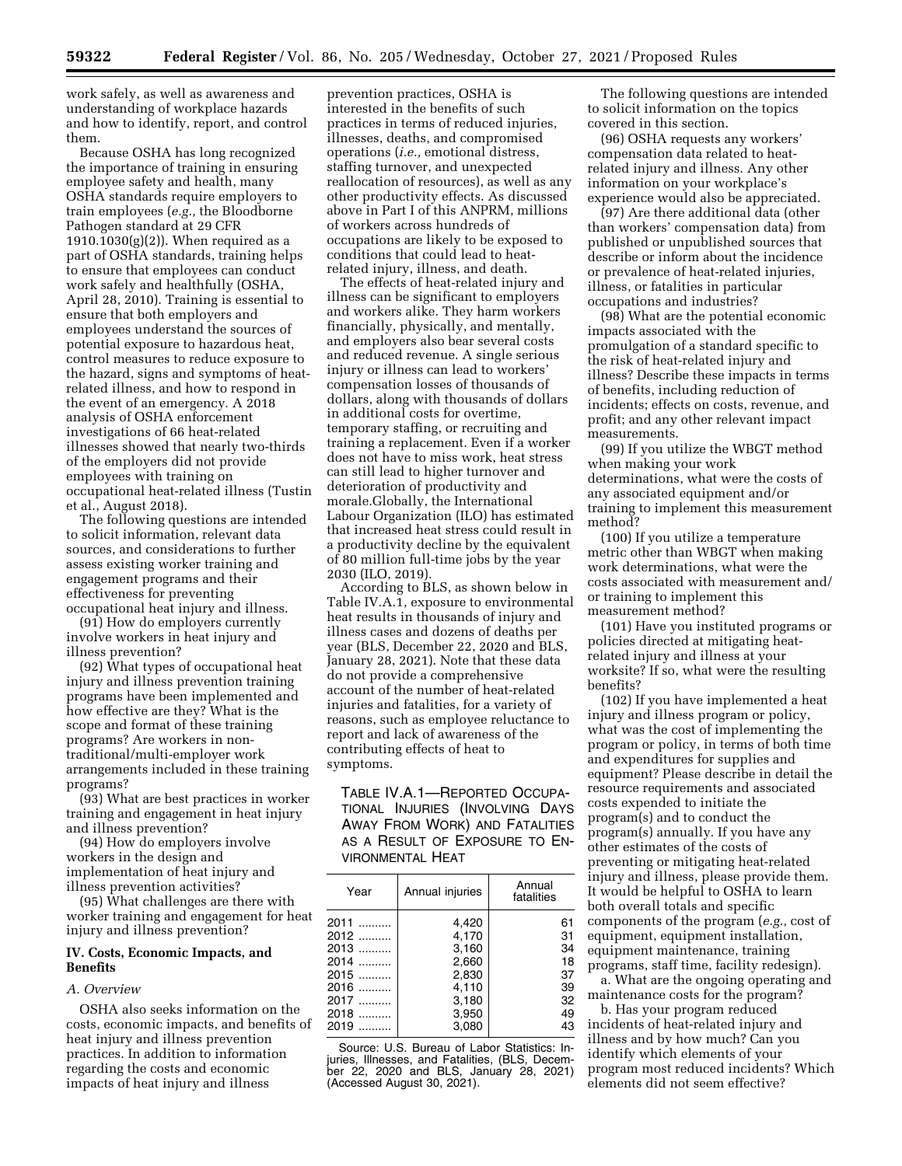work safely, as well as awareness and understanding of workplace hazards and how to identify, report, and control them.

Because OSHA has long recognized the importance of training in ensuring employee safety and health, many OSHA standards require employers to train employees (*e.g.,* the Bloodborne Pathogen standard at 29 CFR  $1910.1030(g)(2)$ ). When required as a part of OSHA standards, training helps to ensure that employees can conduct work safely and healthfully (OSHA, April 28, 2010). Training is essential to ensure that both employers and employees understand the sources of potential exposure to hazardous heat, control measures to reduce exposure to the hazard, signs and symptoms of heatrelated illness, and how to respond in the event of an emergency. A 2018 analysis of OSHA enforcement investigations of 66 heat-related illnesses showed that nearly two-thirds of the employers did not provide employees with training on occupational heat-related illness (Tustin et al., August 2018).

The following questions are intended to solicit information, relevant data sources, and considerations to further assess existing worker training and engagement programs and their effectiveness for preventing occupational heat injury and illness.

(91) How do employers currently involve workers in heat injury and illness prevention?

(92) What types of occupational heat injury and illness prevention training programs have been implemented and how effective are they? What is the scope and format of these training programs? Are workers in nontraditional/multi-employer work arrangements included in these training programs?

(93) What are best practices in worker training and engagement in heat injury and illness prevention?

(94) How do employers involve workers in the design and implementation of heat injury and illness prevention activities?

(95) What challenges are there with worker training and engagement for heat injury and illness prevention?

### **IV. Costs, Economic Impacts, and Benefits**

## *A. Overview*

OSHA also seeks information on the costs, economic impacts, and benefits of heat injury and illness prevention practices. In addition to information regarding the costs and economic impacts of heat injury and illness

prevention practices, OSHA is interested in the benefits of such practices in terms of reduced injuries, illnesses, deaths, and compromised operations (*i.e.,* emotional distress, staffing turnover, and unexpected reallocation of resources), as well as any other productivity effects. As discussed above in Part I of this ANPRM, millions of workers across hundreds of occupations are likely to be exposed to conditions that could lead to heatrelated injury, illness, and death.

The effects of heat-related injury and illness can be significant to employers and workers alike. They harm workers financially, physically, and mentally, and employers also bear several costs and reduced revenue. A single serious injury or illness can lead to workers' compensation losses of thousands of dollars, along with thousands of dollars in additional costs for overtime, temporary staffing, or recruiting and training a replacement. Even if a worker does not have to miss work, heat stress can still lead to higher turnover and deterioration of productivity and morale.Globally, the International Labour Organization (ILO) has estimated that increased heat stress could result in a productivity decline by the equivalent of 80 million full-time jobs by the year 2030 (ILO, 2019).

According to BLS, as shown below in Table IV.A.1, exposure to environmental heat results in thousands of injury and illness cases and dozens of deaths per year (BLS, December 22, 2020 and BLS, January 28, 2021). Note that these data do not provide a comprehensive account of the number of heat-related injuries and fatalities, for a variety of reasons, such as employee reluctance to report and lack of awareness of the contributing effects of heat to symptoms.

TABLE IV.A.1—REPORTED OCCUPA-TIONAL INJURIES (INVOLVING DAYS AWAY FROM WORK) AND FATALITIES AS A RESULT OF EXPOSURE TO EN-VIRONMENTAL HEAT

| Year   | Annual injuries | Annual<br>fatalities |
|--------|-----------------|----------------------|
| 2011   | 4,420           | 61                   |
| 2012   | 4.170           | 31                   |
| 2013   | 3.160           | 34                   |
| 2014   | 2,660           | 18                   |
| 2015   | 2.830           | 37                   |
| 2016   | 4.110           | 39                   |
| 2017   | 3,180           | 32                   |
| 2018   | 3,950           | 49                   |
| $2019$ | 3.080           | 43                   |

Source: U.S. Bureau of Labor Statistics: Injuries, Illnesses, and Fatalities, (BLS, December 22, 2020 and BLS, January 28, 2021) (Accessed August 30, 2021).

The following questions are intended to solicit information on the topics covered in this section.

(96) OSHA requests any workers' compensation data related to heatrelated injury and illness. Any other information on your workplace's experience would also be appreciated.

(97) Are there additional data (other than workers' compensation data) from published or unpublished sources that describe or inform about the incidence or prevalence of heat-related injuries, illness, or fatalities in particular occupations and industries?

(98) What are the potential economic impacts associated with the promulgation of a standard specific to the risk of heat-related injury and illness? Describe these impacts in terms of benefits, including reduction of incidents; effects on costs, revenue, and profit; and any other relevant impact measurements.

(99) If you utilize the WBGT method when making your work determinations, what were the costs of any associated equipment and/or training to implement this measurement method?

(100) If you utilize a temperature metric other than WBGT when making work determinations, what were the costs associated with measurement and/ or training to implement this measurement method?

(101) Have you instituted programs or policies directed at mitigating heatrelated injury and illness at your worksite? If so, what were the resulting benefits?

(102) If you have implemented a heat injury and illness program or policy, what was the cost of implementing the program or policy, in terms of both time and expenditures for supplies and equipment? Please describe in detail the resource requirements and associated costs expended to initiate the program(s) and to conduct the program(s) annually. If you have any other estimates of the costs of preventing or mitigating heat-related injury and illness, please provide them. It would be helpful to OSHA to learn both overall totals and specific components of the program (*e.g.,* cost of equipment, equipment installation, equipment maintenance, training programs, staff time, facility redesign).

a. What are the ongoing operating and maintenance costs for the program?

b. Has your program reduced incidents of heat-related injury and illness and by how much? Can you identify which elements of your program most reduced incidents? Which elements did not seem effective?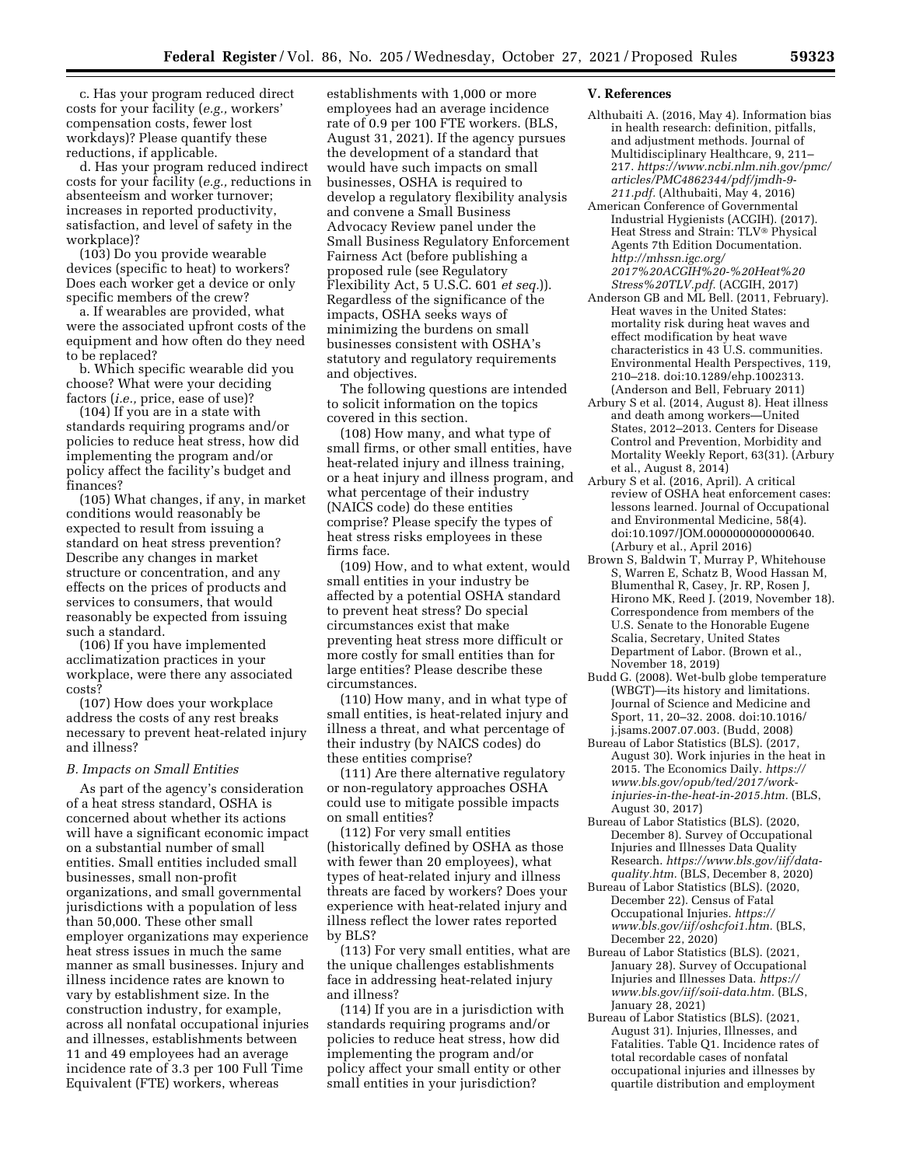c. Has your program reduced direct costs for your facility (*e.g.,* workers' compensation costs, fewer lost workdays)? Please quantify these reductions, if applicable.

d. Has your program reduced indirect costs for your facility (*e.g.,* reductions in absenteeism and worker turnover; increases in reported productivity, satisfaction, and level of safety in the workplace)?

(103) Do you provide wearable devices (specific to heat) to workers? Does each worker get a device or only specific members of the crew?

a. If wearables are provided, what were the associated upfront costs of the equipment and how often do they need to be replaced?

b. Which specific wearable did you choose? What were your deciding factors (*i.e.,* price, ease of use)?

(104) If you are in a state with standards requiring programs and/or policies to reduce heat stress, how did implementing the program and/or policy affect the facility's budget and finances?

(105) What changes, if any, in market conditions would reasonably be expected to result from issuing a standard on heat stress prevention? Describe any changes in market structure or concentration, and any effects on the prices of products and services to consumers, that would reasonably be expected from issuing such a standard.

(106) If you have implemented acclimatization practices in your workplace, were there any associated costs?

(107) How does your workplace address the costs of any rest breaks necessary to prevent heat-related injury and illness?

## *B. Impacts on Small Entities*

As part of the agency's consideration of a heat stress standard, OSHA is concerned about whether its actions will have a significant economic impact on a substantial number of small entities. Small entities included small businesses, small non-profit organizations, and small governmental jurisdictions with a population of less than 50,000. These other small employer organizations may experience heat stress issues in much the same manner as small businesses. Injury and illness incidence rates are known to vary by establishment size. In the construction industry, for example, across all nonfatal occupational injuries and illnesses, establishments between 11 and 49 employees had an average incidence rate of 3.3 per 100 Full Time Equivalent (FTE) workers, whereas

establishments with 1,000 or more employees had an average incidence rate of 0.9 per 100 FTE workers. (BLS, August 31, 2021). If the agency pursues the development of a standard that would have such impacts on small businesses, OSHA is required to develop a regulatory flexibility analysis and convene a Small Business Advocacy Review panel under the Small Business Regulatory Enforcement Fairness Act (before publishing a proposed rule (see Regulatory Flexibility Act, 5 U.S.C. 601 *et seq.*)). Regardless of the significance of the impacts, OSHA seeks ways of minimizing the burdens on small businesses consistent with OSHA's statutory and regulatory requirements and objectives.

The following questions are intended to solicit information on the topics covered in this section.

(108) How many, and what type of small firms, or other small entities, have heat-related injury and illness training, or a heat injury and illness program, and what percentage of their industry (NAICS code) do these entities comprise? Please specify the types of heat stress risks employees in these firms face.

(109) How, and to what extent, would small entities in your industry be affected by a potential OSHA standard to prevent heat stress? Do special circumstances exist that make preventing heat stress more difficult or more costly for small entities than for large entities? Please describe these circumstances.

(110) How many, and in what type of small entities, is heat-related injury and illness a threat, and what percentage of their industry (by NAICS codes) do these entities comprise?

(111) Are there alternative regulatory or non-regulatory approaches OSHA could use to mitigate possible impacts on small entities?

(112) For very small entities (historically defined by OSHA as those with fewer than 20 employees), what types of heat-related injury and illness threats are faced by workers? Does your experience with heat-related injury and illness reflect the lower rates reported by BLS?

(113) For very small entities, what are the unique challenges establishments face in addressing heat-related injury and illness?

(114) If you are in a jurisdiction with standards requiring programs and/or policies to reduce heat stress, how did implementing the program and/or policy affect your small entity or other small entities in your jurisdiction?

### **V. References**

- Althubaiti A. (2016, May 4). Information bias in health research: definition, pitfalls, and adjustment methods. Journal of Multidisciplinary Healthcare, 9, 211– 217. *[https://www.ncbi.nlm.nih.gov/pmc/](https://www.ncbi.nlm.nih.gov/pmc/articles/PMC4862344/pdf/jmdh-9-211.pdf)  [articles/PMC4862344/pdf/jmdh-9-](https://www.ncbi.nlm.nih.gov/pmc/articles/PMC4862344/pdf/jmdh-9-211.pdf)  [211.pdf.](https://www.ncbi.nlm.nih.gov/pmc/articles/PMC4862344/pdf/jmdh-9-211.pdf)* (Althubaiti, May 4, 2016)
- American Conference of Governmental Industrial Hygienists (ACGIH). (2017). Heat Stress and Strain: TLV® Physical Agents 7th Edition Documentation. *[http://mhssn.igc.org/](http://mhssn.igc.org/2017%20ACGIH%20-%20Heat%20Stress%20TLV.pdf) [2017%20ACGIH%20-%20Heat%20](http://mhssn.igc.org/2017%20ACGIH%20-%20Heat%20Stress%20TLV.pdf) [Stress%20TLV.pdf.](http://mhssn.igc.org/2017%20ACGIH%20-%20Heat%20Stress%20TLV.pdf)* (ACGIH, 2017)
- Anderson GB and ML Bell. (2011, February). Heat waves in the United States: mortality risk during heat waves and effect modification by heat wave characteristics in 43 U.S. communities. Environmental Health Perspectives, 119, 210–218. doi:10.1289/ehp.1002313. (Anderson and Bell, February 2011)
- Arbury S et al. (2014, August 8). Heat illness and death among workers—United States, 2012–2013. Centers for Disease Control and Prevention, Morbidity and Mortality Weekly Report, 63(31). (Arbury et al., August 8, 2014)
- Arbury S et al. (2016, April). A critical review of OSHA heat enforcement cases: lessons learned. Journal of Occupational and Environmental Medicine,  $58(4)$ . doi:10.1097/JOM.0000000000000640. (Arbury et al., April 2016)
- Brown S, Baldwin T, Murray P, Whitehouse S, Warren E, Schatz B, Wood Hassan M, Blumenthal R, Casey, Jr. RP, Rosen J, Hirono MK, Reed J. (2019, November 18). Correspondence from members of the U.S. Senate to the Honorable Eugene Scalia, Secretary, United States Department of Labor. (Brown et al., November 18, 2019)
- Budd G. (2008). Wet-bulb globe temperature (WBGT)—its history and limitations. Journal of Science and Medicine and Sport, 11, 20–32. 2008. doi:10.1016/ j.jsams.2007.07.003. (Budd, 2008)
- Bureau of Labor Statistics (BLS). (2017, August 30). Work injuries in the heat in 2015. The Economics Daily. *[https://](https://www.bls.gov/opub/ted/2017/work-injuries-in-the-heat-in-2015.htm) [www.bls.gov/opub/ted/2017/work](https://www.bls.gov/opub/ted/2017/work-injuries-in-the-heat-in-2015.htm)[injuries-in-the-heat-in-2015.htm.](https://www.bls.gov/opub/ted/2017/work-injuries-in-the-heat-in-2015.htm)* (BLS, August 30, 2017)
- Bureau of Labor Statistics (BLS). (2020, December 8). Survey of Occupational Injuries and Illnesses Data Quality Research. *[https://www.bls.gov/iif/data](https://www.bls.gov/iif/data-quality.htm)[quality.htm.](https://www.bls.gov/iif/data-quality.htm)* (BLS, December 8, 2020)
- Bureau of Labor Statistics (BLS). (2020, December 22). Census of Fatal Occupational Injuries. *[https://](https://www.bls.gov/iif/oshcfoi1.htm) [www.bls.gov/iif/oshcfoi1.htm.](https://www.bls.gov/iif/oshcfoi1.htm)* (BLS, December 22, 2020)
- Bureau of Labor Statistics (BLS). (2021, January 28). Survey of Occupational Injuries and Illnesses Data. *[https://](https://www.bls.gov/iif/soii-data.htm) [www.bls.gov/iif/soii-data.htm.](https://www.bls.gov/iif/soii-data.htm)* (BLS, January 28, 2021)
- Bureau of Labor Statistics (BLS). (2021, August 31). Injuries, Illnesses, and Fatalities. Table Q1. Incidence rates of total recordable cases of nonfatal occupational injuries and illnesses by quartile distribution and employment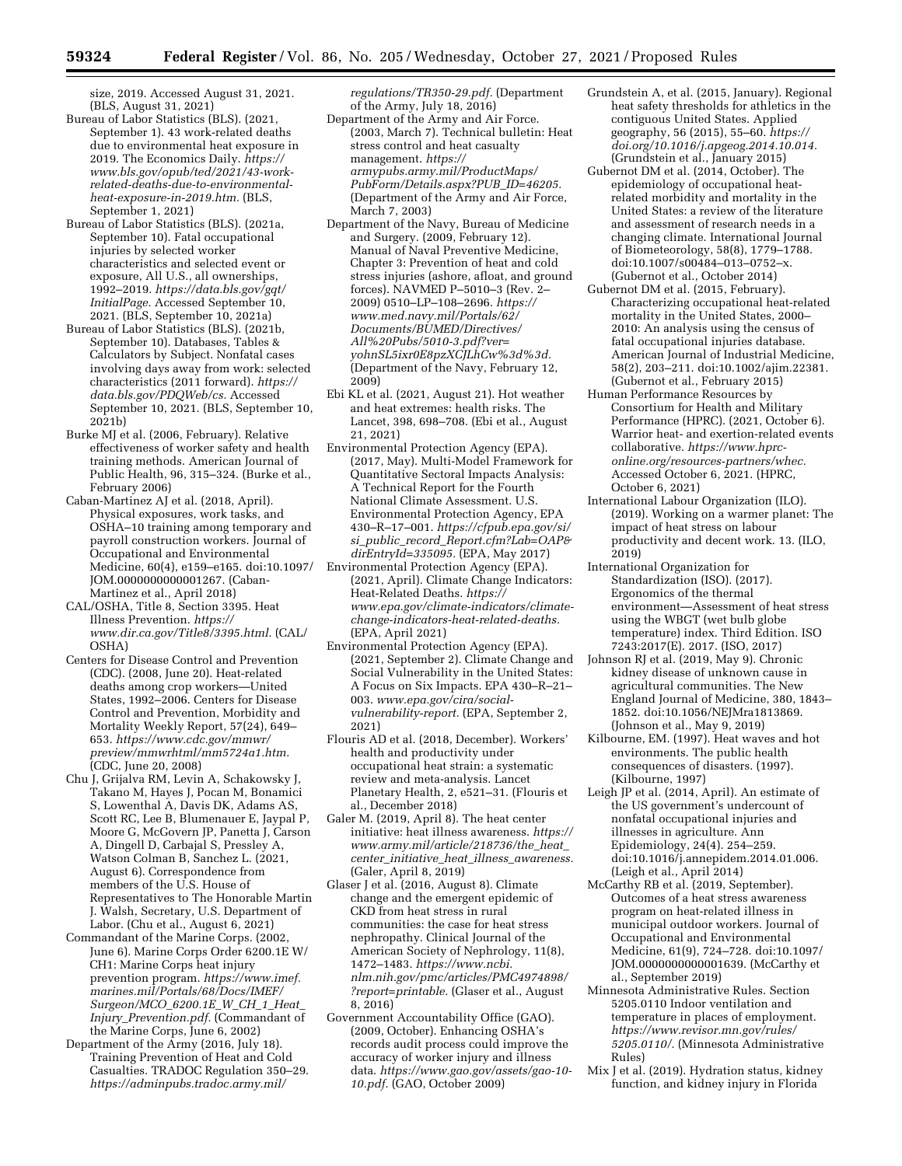size, 2019. Accessed August 31, 2021. (BLS, August 31, 2021)

- Bureau of Labor Statistics (BLS). (2021, September 1). 43 work-related deaths due to environmental heat exposure in 2019. The Economics Daily. *[https://](https://www.bls.gov/opub/ted/2021/43-work-related-deaths-due-to-environmental-heat-exposure-in-2019.htm) [www.bls.gov/opub/ted/2021/43-work](https://www.bls.gov/opub/ted/2021/43-work-related-deaths-due-to-environmental-heat-exposure-in-2019.htm)[related-deaths-due-to-environmental](https://www.bls.gov/opub/ted/2021/43-work-related-deaths-due-to-environmental-heat-exposure-in-2019.htm)[heat-exposure-in-2019.htm.](https://www.bls.gov/opub/ted/2021/43-work-related-deaths-due-to-environmental-heat-exposure-in-2019.htm)* (BLS, September 1, 2021)
- Bureau of Labor Statistics (BLS). (2021a, September 10). Fatal occupational injuries by selected worker characteristics and selected event or exposure, All U.S., all ownerships, 1992–2019. *[https://data.bls.gov/gqt/](https://data.bls.gov/gqt/InitialPage)  [InitialPage.](https://data.bls.gov/gqt/InitialPage)* Accessed September 10, 2021. (BLS, September 10, 2021a)
- Bureau of Labor Statistics (BLS). (2021b, September 10). Databases, Tables & Calculators by Subject. Nonfatal cases involving days away from work: selected characteristics (2011 forward). *[https://](https://data.bls.gov/PDQWeb/cs) [data.bls.gov/PDQWeb/cs.](https://data.bls.gov/PDQWeb/cs)* Accessed September 10, 2021. (BLS, September 10, 2021b)
- Burke MJ et al. (2006, February). Relative effectiveness of worker safety and health training methods. American Journal of Public Health, 96, 315–324. (Burke et al., February 2006)
- Caban-Martinez AJ et al. (2018, April). Physical exposures, work tasks, and OSHA–10 training among temporary and payroll construction workers. Journal of Occupational and Environmental Medicine, 60(4), e159–e165. doi:10.1097/ JOM.0000000000001267. (Caban-Martinez et al., April 2018)
- CAL/OSHA, Title 8, Section 3395. Heat Illness Prevention. *[https://](https://www.dir.ca.gov/Title8/3395.html) [www.dir.ca.gov/Title8/3395.html.](https://www.dir.ca.gov/Title8/3395.html)* (CAL/ OSHA)
- Centers for Disease Control and Prevention (CDC). (2008, June 20). Heat-related deaths among crop workers—United States, 1992–2006. Centers for Disease Control and Prevention, Morbidity and Mortality Weekly Report, 57(24), 649– 653. *[https://www.cdc.gov/mmwr/](https://www.cdc.gov/mmwr/preview/mmwrhtml/mm5724a1.htm)  [preview/mmwrhtml/mm5724a1.htm.](https://www.cdc.gov/mmwr/preview/mmwrhtml/mm5724a1.htm)*  (CDC, June 20, 2008)
- Chu J, Grijalva RM, Levin A, Schakowsky J, Takano M, Hayes J, Pocan M, Bonamici S, Lowenthal A, Davis DK, Adams AS, Scott RC, Lee B, Blumenauer E, Jaypal P, Moore G, McGovern JP, Panetta J, Carson A, Dingell D, Carbajal S, Pressley A, Watson Colman B, Sanchez L. (2021, August 6). Correspondence from members of the U.S. House of Representatives to The Honorable Martin J. Walsh, Secretary, U.S. Department of Labor. (Chu et al., August 6, 2021)
- Commandant of the Marine Corps. (2002, June 6). Marine Corps Order 6200.1E W/ CH1: Marine Corps heat injury prevention program. *[https://www.imef.](https://www.imef.marines.mil/Portals/68/Docs/IMEF/Surgeon/MCO_6200.1E_W_CH_1_Heat_Injury_Prevention.pdf) [marines.mil/Portals/68/Docs/IMEF/](https://www.imef.marines.mil/Portals/68/Docs/IMEF/Surgeon/MCO_6200.1E_W_CH_1_Heat_Injury_Prevention.pdf) [Surgeon/MCO](https://www.imef.marines.mil/Portals/68/Docs/IMEF/Surgeon/MCO_6200.1E_W_CH_1_Heat_Injury_Prevention.pdf)*\_*6200.1E*\_*W*\_*CH*\_*1*\_*Heat*\_ *Injury*\_*[Prevention.pdf.](https://www.imef.marines.mil/Portals/68/Docs/IMEF/Surgeon/MCO_6200.1E_W_CH_1_Heat_Injury_Prevention.pdf)* (Commandant of the Marine Corps, June 6, 2002)
- Department of the Army (2016, July 18). Training Prevention of Heat and Cold Casualties. TRADOC Regulation 350–29. *[https://adminpubs.tradoc.army.mil/](https://adminpubs.tradoc.army.mil/regulations/TR350-29.pdf)*

*[regulations/TR350-29.pdf.](https://adminpubs.tradoc.army.mil/regulations/TR350-29.pdf)* (Department of the Army, July 18, 2016)

- Department of the Army and Air Force. (2003, March 7). Technical bulletin: Heat stress control and heat casualty management. *[https://](https://armypubs.army.mil/ProductMaps/PubForm/Details.aspx?PUB_ID=46205) [armypubs.army.mil/ProductMaps/](https://armypubs.army.mil/ProductMaps/PubForm/Details.aspx?PUB_ID=46205) [PubForm/Details.aspx?PUB](https://armypubs.army.mil/ProductMaps/PubForm/Details.aspx?PUB_ID=46205)*\_*ID=46205.*  (Department of the Army and Air Force, March 7, 2003)
- Department of the Navy, Bureau of Medicine and Surgery. (2009, February 12). Manual of Naval Preventive Medicine, Chapter 3: Prevention of heat and cold stress injuries (ashore, afloat, and ground forces). NAVMED P–5010–3 (Rev. 2– 2009) 0510–LP–108–2696. *[https://](https://www.med.navy.mil/Portals/62/Documents/BUMED/Directives/All%20Pubs/5010-3.pdf?ver=yohnSL5ixr0E8pzXCJLhCw%3d%3d) [www.med.navy.mil/Portals/62/](https://www.med.navy.mil/Portals/62/Documents/BUMED/Directives/All%20Pubs/5010-3.pdf?ver=yohnSL5ixr0E8pzXCJLhCw%3d%3d)  [Documents/BUMED/Directives/](https://www.med.navy.mil/Portals/62/Documents/BUMED/Directives/All%20Pubs/5010-3.pdf?ver=yohnSL5ixr0E8pzXCJLhCw%3d%3d) [All%20Pubs/5010-3.pdf?ver=](https://www.med.navy.mil/Portals/62/Documents/BUMED/Directives/All%20Pubs/5010-3.pdf?ver=yohnSL5ixr0E8pzXCJLhCw%3d%3d) [yohnSL5ixr0E8pzXCJLhCw%3d%3d.](https://www.med.navy.mil/Portals/62/Documents/BUMED/Directives/All%20Pubs/5010-3.pdf?ver=yohnSL5ixr0E8pzXCJLhCw%3d%3d)*  (Department of the Navy, February 12, 2009)
- Ebi KL et al. (2021, August 21). Hot weather and heat extremes: health risks. The Lancet, 398, 698–708. (Ebi et al., August 21, 2021)
- Environmental Protection Agency (EPA). (2017, May). Multi-Model Framework for Quantitative Sectoral Impacts Analysis: A Technical Report for the Fourth National Climate Assessment. U.S. Environmental Protection Agency, EPA 430–R–17–001. *[https://cfpub.epa.gov/si/](https://cfpub.epa.gov/si/si_public_record_Report.cfm?Lab=OAP&dirEntryId=335095) si*\_*public*\_*record*\_*[Report.cfm?Lab=OAP&](https://cfpub.epa.gov/si/si_public_record_Report.cfm?Lab=OAP&dirEntryId=335095) [dirEntryId=335095.](https://cfpub.epa.gov/si/si_public_record_Report.cfm?Lab=OAP&dirEntryId=335095)* (EPA, May 2017)
- Environmental Protection Agency (EPA). (2021, April). Climate Change Indicators: Heat-Related Deaths. *[https://](https://www.epa.gov/climate-indicators/climate-change-indicators-heat-related-deaths) [www.epa.gov/climate-indicators/climate](https://www.epa.gov/climate-indicators/climate-change-indicators-heat-related-deaths)[change-indicators-heat-related-deaths.](https://www.epa.gov/climate-indicators/climate-change-indicators-heat-related-deaths)*  (EPA, April 2021)
- Environmental Protection Agency (EPA). (2021, September 2). Climate Change and Social Vulnerability in the United States: A Focus on Six Impacts. EPA 430–R–21– 003. *[www.epa.gov/cira/social](http://www.epa.gov/cira/social-vulnerability-report)[vulnerability-report.](http://www.epa.gov/cira/social-vulnerability-report)* (EPA, September 2, 2021)
- Flouris AD et al. (2018, December). Workers' health and productivity under occupational heat strain: a systematic review and meta-analysis. Lancet Planetary Health, 2, e521–31. (Flouris et al., December 2018)
- Galer M. (2019, April 8). The heat center initiative: heat illness awareness. *[https://](https://www.army.mil/article/218736/the_heat_center_initiative_heat_illness_awareness)  [www.army.mil/article/218736/the](https://www.army.mil/article/218736/the_heat_center_initiative_heat_illness_awareness)*\_*heat*\_ *center*\_*initiative*\_*heat*\_*illness*\_*[awareness.](https://www.army.mil/article/218736/the_heat_center_initiative_heat_illness_awareness)*  (Galer, April 8, 2019)
- Glaser J et al. (2016, August 8). Climate change and the emergent epidemic of CKD from heat stress in rural communities: the case for heat stress nephropathy. Clinical Journal of the American Society of Nephrology, 11(8), 1472–1483. *[https://www.ncbi.](https://www.ncbi.nlm.nih.gov/pmc/articles/PMC4974898/?report=printable) [nlm.nih.gov/pmc/articles/PMC4974898/](https://www.ncbi.nlm.nih.gov/pmc/articles/PMC4974898/?report=printable)  [?report=printable.](https://www.ncbi.nlm.nih.gov/pmc/articles/PMC4974898/?report=printable)* (Glaser et al., August 8, 2016)
- Government Accountability Office (GAO). (2009, October). Enhancing OSHA's records audit process could improve the accuracy of worker injury and illness data. *[https://www.gao.gov/assets/gao-10-](https://www.gao.gov/assets/gao-10-10.pdf) [10.pdf.](https://www.gao.gov/assets/gao-10-10.pdf)* (GAO, October 2009)
- Grundstein A, et al. (2015, January). Regional heat safety thresholds for athletics in the contiguous United States. Applied geography, 56 (2015), 55–60. *[https://](https://doi.org/10.1016/j.apgeog.2014.10.014) [doi.org/10.1016/j.apgeog.2014.10.014.](https://doi.org/10.1016/j.apgeog.2014.10.014)*  (Grundstein et al., January 2015)
- Gubernot DM et al. (2014, October). The epidemiology of occupational heatrelated morbidity and mortality in the United States: a review of the literature and assessment of research needs in a changing climate. International Journal of Biometeorology, 58(8), 1779–1788. doi:10.1007/s00484–013–0752–x. (Gubernot et al., October 2014)
- Gubernot DM et al. (2015, February). Characterizing occupational heat-related mortality in the United States, 2000– 2010: An analysis using the census of fatal occupational injuries database. American Journal of Industrial Medicine, 58(2), 203–211. doi:10.1002/ajim.22381. (Gubernot et al., February 2015)
- Human Performance Resources by Consortium for Health and Military Performance (HPRC). (2021, October 6). Warrior heat- and exertion-related events collaborative. *[https://www.hprc](https://www.hprc-online.org/resources-partners/whec)[online.org/resources-partners/whec.](https://www.hprc-online.org/resources-partners/whec)*  Accessed October 6, 2021. (HPRC, October 6, 2021)
- International Labour Organization (ILO). (2019). Working on a warmer planet: The impact of heat stress on labour productivity and decent work. 13. (ILO, 2019)
- International Organization for Standardization (ISO). (2017). Ergonomics of the thermal environment—Assessment of heat stress using the WBGT (wet bulb globe temperature) index. Third Edition. ISO 7243:2017(E). 2017. (ISO, 2017)
- Johnson RJ et al. (2019, May 9). Chronic kidney disease of unknown cause in agricultural communities. The New England Journal of Medicine, 380, 1843– 1852. doi:10.1056/NEJMra1813869. (Johnson et al., May 9, 2019)
- Kilbourne, EM. (1997). Heat waves and hot environments. The public health consequences of disasters. (1997). (Kilbourne, 1997)
- Leigh JP et al. (2014, April). An estimate of the US government's undercount of nonfatal occupational injuries and illnesses in agriculture. Ann Epidemiology, 24(4). 254–259. doi:10.1016/j.annepidem.2014.01.006. (Leigh et al., April 2014)
- McCarthy RB et al. (2019, September). Outcomes of a heat stress awareness program on heat-related illness in municipal outdoor workers. Journal of Occupational and Environmental Medicine, 61(9), 724–728. doi:10.1097/ JOM.0000000000001639. (McCarthy et al., September 2019)
- Minnesota Administrative Rules. Section 5205.0110 Indoor ventilation and temperature in places of employment. *[https://www.revisor.mn.gov/rules/](https://www.revisor.mn.gov/rules/5205.0110/)  [5205.0110/.](https://www.revisor.mn.gov/rules/5205.0110/)* (Minnesota Administrative Rules)
- Mix J et al. (2019). Hydration status, kidney function, and kidney injury in Florida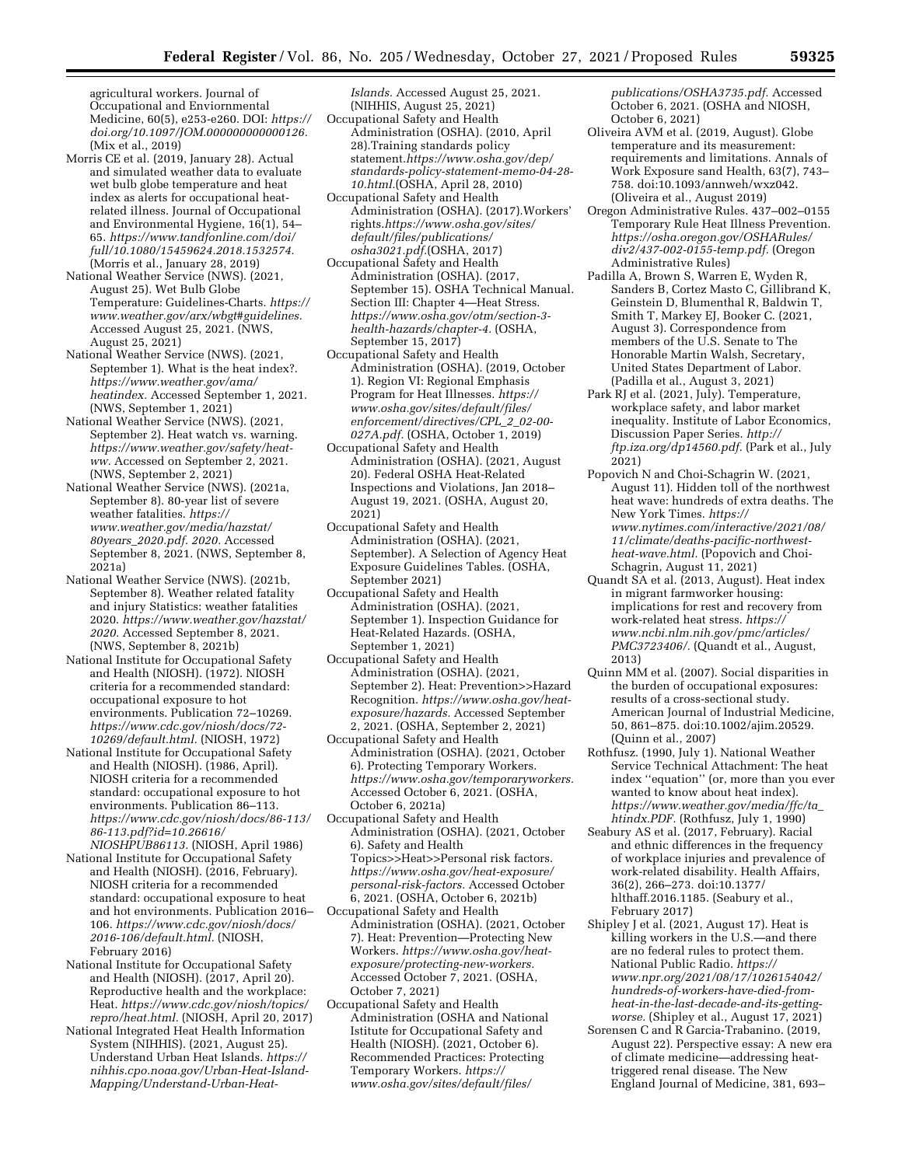agricultural workers. Journal of Occupational and Enviornmental Medicine, 60(5), e253-e260. DOI: *[https://](https://doi.org/10.1097/JOM.000000000000126) [doi.org/10.1097/JOM.000000000000126.](https://doi.org/10.1097/JOM.000000000000126)*  (Mix et al., 2019)

- Morris CE et al. (2019, January 28). Actual and simulated weather data to evaluate wet bulb globe temperature and heat index as alerts for occupational heatrelated illness. Journal of Occupational and Environmental Hygiene, 16(1), 54– 65. *[https://www.tandfonline.com/doi/](https://www.tandfonline.com/doi/full/10.1080/15459624.2018.1532574)  [full/10.1080/15459624.2018.1532574.](https://www.tandfonline.com/doi/full/10.1080/15459624.2018.1532574)*  (Morris et al., January 28, 2019)
- National Weather Service (NWS). (2021, August 25). Wet Bulb Globe Temperature: Guidelines-Charts. *[https://](https://www.weather.gov/arx/wbgt#guidelines) [www.weather.gov/arx/wbgt#guidelines.](https://www.weather.gov/arx/wbgt#guidelines)*  Accessed August 25, 2021. (NWS, August 25, 2021)
- National Weather Service (NWS). (2021, September 1). What is the heat index?. *[https://www.weather.gov/ama/](https://www.weather.gov/ama/heatindex)  [heatindex.](https://www.weather.gov/ama/heatindex)* Accessed September 1, 2021.  $(NWS, September 1, 2021)$
- National Weather Service (NWS). (2021, September 2). Heat watch vs. warning. *[https://www.weather.gov/safety/heat](https://www.weather.gov/safety/heat-ww)[ww.](https://www.weather.gov/safety/heat-ww)* Accessed on September 2, 2021. (NWS, September 2, 2021)
- National Weather Service (NWS). (2021a, September 8). 80-year list of severe weather fatalities. *[https://](https://www.weather.gov/media/hazstat/80years_2020.pdf) [www.weather.gov/media/hazstat/](https://www.weather.gov/media/hazstat/80years_2020.pdf)  80years*\_*[2020.pdf.](https://www.weather.gov/media/hazstat/80years_2020.pdf) 2020.* Accessed September 8, 2021. (NWS, September 8, 2021a)
- National Weather Service (NWS). (2021b, September 8). Weather related fatality and injury Statistics: weather fatalities 2020. *[https://www.weather.gov/hazstat/](https://www.weather.gov/hazstat/2020)  [2020.](https://www.weather.gov/hazstat/2020)* Accessed September 8, 2021. (NWS, September 8, 2021b)
- National Institute for Occupational Safety and Health (NIOSH). (1972). NIOSH criteria for a recommended standard: occupational exposure to hot environments. Publication 72–10269. *[https://www.cdc.gov/niosh/docs/72-](https://www.cdc.gov/niosh/docs/72-10269/default.html) [10269/default.html.](https://www.cdc.gov/niosh/docs/72-10269/default.html)* (NIOSH, 1972)
- National Institute for Occupational Safety and Health (NIOSH). (1986, April). NIOSH criteria for a recommended standard: occupational exposure to hot environments. Publication 86–113. *[https://www.cdc.gov/niosh/docs/86-113/](https://www.cdc.gov/niosh/docs/86-113/86-113.pdf?id=10.26616/NIOSHPUB86113)  [86-113.pdf?id=10.26616/](https://www.cdc.gov/niosh/docs/86-113/86-113.pdf?id=10.26616/NIOSHPUB86113)*
- *[NIOSHPUB86113.](https://www.cdc.gov/niosh/docs/86-113/86-113.pdf?id=10.26616/NIOSHPUB86113)* (NIOSH, April 1986) National Institute for Occupational Safety and Health (NIOSH). (2016, February). NIOSH criteria for a recommended standard: occupational exposure to heat and hot environments. Publication 2016– 106. *[https://www.cdc.gov/niosh/docs/](https://www.cdc.gov/niosh/docs/2016-106/default.html)  [2016-106/default.html.](https://www.cdc.gov/niosh/docs/2016-106/default.html)* (NIOSH, February 2016)
- National Institute for Occupational Safety and Health (NIOSH). (2017, April 20). Reproductive health and the workplace: Heat. *[https://www.cdc.gov/niosh/topics/](https://www.cdc.gov/niosh/topics/repro/heat.html) [repro/heat.html.](https://www.cdc.gov/niosh/topics/repro/heat.html)* (NIOSH, April 20, 2017)
- National Integrated Heat Health Information System (NIHHIS). (2021, August 25). Understand Urban Heat Islands. *[https://](https://nihhis.cpo.noaa.gov/Urban-Heat-Island-Mapping/Understand-Urban-Heat-Islands) [nihhis.cpo.noaa.gov/Urban-Heat-Island-](https://nihhis.cpo.noaa.gov/Urban-Heat-Island-Mapping/Understand-Urban-Heat-Islands)[Mapping/Understand-Urban-Heat-](https://nihhis.cpo.noaa.gov/Urban-Heat-Island-Mapping/Understand-Urban-Heat-Islands)*

*[Islands.](https://nihhis.cpo.noaa.gov/Urban-Heat-Island-Mapping/Understand-Urban-Heat-Islands)* Accessed August 25, 2021. (NIHHIS, August 25, 2021)

- Occupational Safety and Health Administration (OSHA). (2010, April 28).Training standards policy statement.*[https://www.osha.gov/dep/](https://www.osha.gov/dep/standards-policy-statement-memo-04-28-10.html) [standards-policy-statement-memo-04-28-](https://www.osha.gov/dep/standards-policy-statement-memo-04-28-10.html) [10.html.](https://www.osha.gov/dep/standards-policy-statement-memo-04-28-10.html)*(OSHA, April 28, 2010)
- Occupational Safety and Health Administration (OSHA). (2017).Workers' rights.*[https://www.osha.gov/sites/](https://www.osha.gov/sites/default/files/publications/osha3021.pdf) [default/files/publications/](https://www.osha.gov/sites/default/files/publications/osha3021.pdf) [osha3021.pdf.](https://www.osha.gov/sites/default/files/publications/osha3021.pdf)*(OSHA, 2017)
- Occupational Safety and Health Administration (OSHA). (2017, September 15). OSHA Technical Manual. Section III: Chapter 4—Heat Stress. *[https://www.osha.gov/otm/section-3](https://www.osha.gov/otm/section-3-health-hazards/chapter-4) [health-hazards/chapter-4.](https://www.osha.gov/otm/section-3-health-hazards/chapter-4)* (OSHA, September 15, 2017)
- Occupational Safety and Health Administration (OSHA). (2019, October 1). Region VI: Regional Emphasis Program for Heat Illnesses. *[https://](https://www.osha.gov/sites/default/files/enforcement/directives/CPL_2_02-00-027A.pdf) [www.osha.gov/sites/default/files/](https://www.osha.gov/sites/default/files/enforcement/directives/CPL_2_02-00-027A.pdf)  [enforcement/directives/CPL](https://www.osha.gov/sites/default/files/enforcement/directives/CPL_2_02-00-027A.pdf)*\_*2*\_*02-00- [027A.pdf.](https://www.osha.gov/sites/default/files/enforcement/directives/CPL_2_02-00-027A.pdf)* (OSHA, October 1, 2019)
- Occupational Safety and Health Administration (OSHA). (2021, August 20). Federal OSHA Heat-Related Inspections and Violations, Jan 2018– August 19, 2021. (OSHA, August 20, 2021)
- Occupational Safety and Health Administration (OSHA). (2021, September). A Selection of Agency Heat Exposure Guidelines Tables. (OSHA, September 2021)
- Occupational Safety and Health Administration (OSHA). (2021, September 1). Inspection Guidance for Heat-Related Hazards. (OSHA, September 1, 2021)
- Occupational Safety and Health Administration (OSHA). (2021, September 2). Heat: Prevention>>Hazard Recognition. *[https://www.osha.gov/heat](https://www.osha.gov/heat-exposure/hazards)[exposure/hazards.](https://www.osha.gov/heat-exposure/hazards)* Accessed September 2, 2021. (OSHA, September 2, 2021)
- Occupational Safety and Health Administration (OSHA). (2021, October 6). Protecting Temporary Workers. *[https://www.osha.gov/temporaryworkers.](https://www.osha.gov/temporaryworkers)*  Accessed October 6, 2021. (OSHA, October 6, 2021a)
- Occupational Safety and Health Administration (OSHA). (2021, October 6). Safety and Health Topics>>Heat>>Personal risk factors. *[https://www.osha.gov/heat-exposure/](https://www.osha.gov/heat-exposure/personal-risk-factors)  [personal-risk-factors.](https://www.osha.gov/heat-exposure/personal-risk-factors)* Accessed October 6, 2021. (OSHA, October 6, 2021b)
- Occupational Safety and Health Administration (OSHA). (2021, October 7). Heat: Prevention—Protecting New Workers. *[https://www.osha.gov/heat](https://www.osha.gov/heat-exposure/protecting-new-workers)[exposure/protecting-new-workers.](https://www.osha.gov/heat-exposure/protecting-new-workers)*  Accessed October 7, 2021. (OSHA, October 7, 2021)
- Occupational Safety and Health Administration (OSHA and National Istitute for Occupational Safety and Health (NIOSH). (2021, October 6). Recommended Practices: Protecting Temporary Workers. *[https://](https://www.osha.gov/sites/default/files/publications/OSHA3735.pdf) [www.osha.gov/sites/default/files/](https://www.osha.gov/sites/default/files/publications/OSHA3735.pdf)*

*[publications/OSHA3735.pdf.](https://www.osha.gov/sites/default/files/publications/OSHA3735.pdf)* Accessed October 6, 2021. (OSHA and NIOSH, October 6, 2021)

- Oliveira AVM et al. (2019, August). Globe temperature and its measurement: requirements and limitations. Annals of Work Exposure sand Health, 63(7), 743– 758. doi:10.1093/annweh/wxz042. (Oliveira et al., August 2019)
- Oregon Administrative Rules. 437–002–0155 Temporary Rule Heat Illness Prevention. *[https://osha.oregon.gov/OSHARules/](https://osha.oregon.gov/OSHARules/div2/437-002-0155-temp.pdf) [div2/437-002-0155-temp.pdf.](https://osha.oregon.gov/OSHARules/div2/437-002-0155-temp.pdf)* (Oregon Administrative Rules)
- Padilla A, Brown S, Warren E, Wyden R, Sanders B, Cortez Masto C, Gillibrand K, Geinstein D, Blumenthal R, Baldwin T, Smith T, Markey EJ, Booker C. (2021, August 3). Correspondence from members of the U.S. Senate to The Honorable Martin Walsh, Secretary, United States Department of Labor. (Padilla et al., August 3, 2021)
- Park RJ et al. (2021, July). Temperature, workplace safety, and labor market inequality. Institute of Labor Economics, Discussion Paper Series. *[http://](http://ftp.iza.org/dp14560.pdf) [ftp.iza.org/dp14560.pdf.](http://ftp.iza.org/dp14560.pdf)* (Park et al., July 2021)
- Popovich N and Choi-Schagrin W. (2021, August 11). Hidden toll of the northwest heat wave: hundreds of extra deaths. The New York Times. *[https://](https://www.nytimes.com/interactive/2021/08/11/climate/deaths-pacific-northwest-heat-wave.html) [www.nytimes.com/interactive/2021/08/](https://www.nytimes.com/interactive/2021/08/11/climate/deaths-pacific-northwest-heat-wave.html) [11/climate/deaths-pacific-northwest](https://www.nytimes.com/interactive/2021/08/11/climate/deaths-pacific-northwest-heat-wave.html)[heat-wave.html.](https://www.nytimes.com/interactive/2021/08/11/climate/deaths-pacific-northwest-heat-wave.html)* (Popovich and Choi-Schagrin, August 11, 2021)
- Quandt SA et al. (2013, August). Heat index in migrant farmworker housing: implications for rest and recovery from work-related heat stress. *[https://](https://www.ncbi.nlm.nih.gov/pmc/articles/PMC3723406/) [www.ncbi.nlm.nih.gov/pmc/articles/](https://www.ncbi.nlm.nih.gov/pmc/articles/PMC3723406/)  [PMC3723406/.](https://www.ncbi.nlm.nih.gov/pmc/articles/PMC3723406/)* (Quandt et al., August, 2013)
- Quinn MM et al. (2007). Social disparities in the burden of occupational exposures: results of a cross-sectional study. American Journal of Industrial Medicine, 50, 861–875. doi:10.1002/ajim.20529. (Quinn et al., 2007)
- Rothfusz. (1990, July 1). National Weather Service Technical Attachment: The heat index ''equation'' (or, more than you ever wanted to know about heat index). *[https://www.weather.gov/media/ffc/ta](https://www.weather.gov/media/ffc/ta_htindx.PDF)*\_ *[htindx.PDF.](https://www.weather.gov/media/ffc/ta_htindx.PDF)* (Rothfusz, July 1, 1990)
- Seabury AS et al. (2017, February). Racial and ethnic differences in the frequency of workplace injuries and prevalence of work-related disability. Health Affairs, 36(2), 266–273. doi:10.1377/ hlthaff.2016.1185. (Seabury et al., February 2017)
- Shipley J et al. (2021, August 17). Heat is killing workers in the U.S.—and there are no federal rules to protect them. National Public Radio. *[https://](https://www.npr.org/2021/08/17/1026154042/hundreds-of-workers-have-died-from-heat-in-the-last-decade-and-its-getting-worse) [www.npr.org/2021/08/17/1026154042/](https://www.npr.org/2021/08/17/1026154042/hundreds-of-workers-have-died-from-heat-in-the-last-decade-and-its-getting-worse)  [hundreds-of-workers-have-died-from](https://www.npr.org/2021/08/17/1026154042/hundreds-of-workers-have-died-from-heat-in-the-last-decade-and-its-getting-worse)[heat-in-the-last-decade-and-its-getting](https://www.npr.org/2021/08/17/1026154042/hundreds-of-workers-have-died-from-heat-in-the-last-decade-and-its-getting-worse)[worse.](https://www.npr.org/2021/08/17/1026154042/hundreds-of-workers-have-died-from-heat-in-the-last-decade-and-its-getting-worse)* (Shipley et al., August 17, 2021)
- Sorensen C and R Garcia-Trabanino. (2019, August 22). Perspective essay: A new era of climate medicine—addressing heattriggered renal disease. The New England Journal of Medicine, 381, 693–